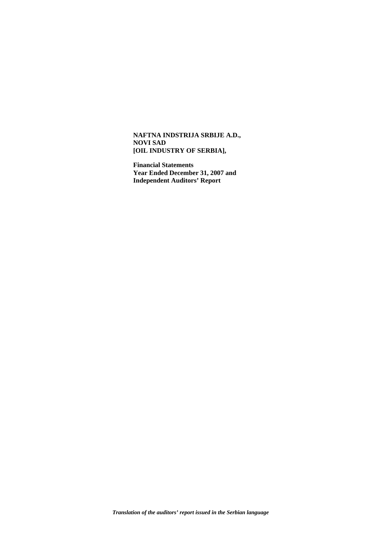# **NAFTNA INDSTRIJA SRBIJE A.D., NOVI SAD [OIL INDUSTRY OF SERBIA],**

**Financial Statements Year Ended December 31, 2007 and Independent Auditors' Report**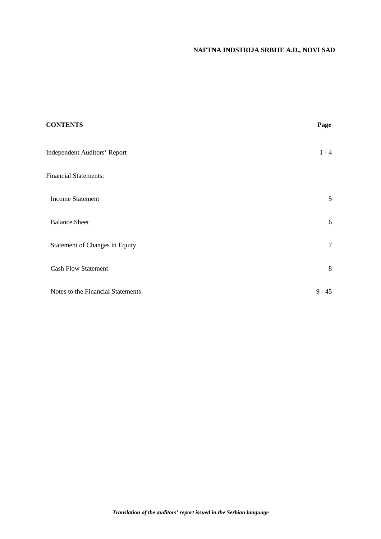# **NAFTNA INDSTRIJA SRBIJE A.D., NOVI SAD**

| <b>CONTENTS</b>                       | Page     |
|---------------------------------------|----------|
| <b>Independent Auditors' Report</b>   | $1 - 4$  |
| <b>Financial Statements:</b>          |          |
| <b>Income Statement</b>               | 5        |
| <b>Balance Sheet</b>                  | 6        |
| <b>Statement of Changes in Equity</b> | 7        |
| <b>Cash Flow Statement</b>            | 8        |
| Notes to the Financial Statements     | $9 - 45$ |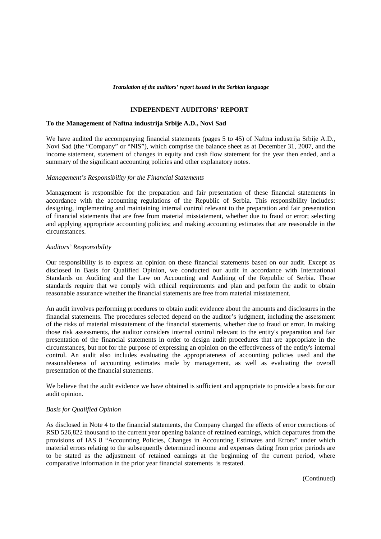#### *Translation of the auditors' report issued in the Serbian language*

# **INDEPENDENT AUDITORS' REPORT**

### **To the Management of Naftna industrija Srbije A.D., Novi Sad**

We have audited the accompanying financial statements (pages 5 to 45) of Naftna industrija Srbije A.D., Novi Sad (the "Company" or "NIS"), which comprise the balance sheet as at December 31, 2007, and the income statement, statement of changes in equity and cash flow statement for the year then ended, and a summary of the significant accounting policies and other explanatory notes.

### *Management's Responsibility for the Financial Statements*

Management is responsible for the preparation and fair presentation of these financial statements in accordance with the accounting regulations of the Republic of Serbia. This responsibility includes: designing, implementing and maintaining internal control relevant to the preparation and fair presentation of financial statements that are free from material misstatement, whether due to fraud or error; selecting and applying appropriate accounting policies; and making accounting estimates that are reasonable in the circumstances.

### *Auditors' Responsibility*

Our responsibility is to express an opinion on these financial statements based on our audit. Except as disclosed in Basis for Qualified Opinion, we conducted our audit in accordance with International Standards on Auditing and the Law on Accounting and Auditing of the Republic of Serbia. Those standards require that we comply with ethical requirements and plan and perform the audit to obtain reasonable assurance whether the financial statements are free from material misstatement.

An audit involves performing procedures to obtain audit evidence about the amounts and disclosures in the financial statements. The procedures selected depend on the auditor's judgment, including the assessment of the risks of material misstatement of the financial statements, whether due to fraud or error. In making those risk assessments, the auditor considers internal control relevant to the entity's preparation and fair presentation of the financial statements in order to design audit procedures that are appropriate in the circumstances, but not for the purpose of expressing an opinion on the effectiveness of the entity's internal control. An audit also includes evaluating the appropriateness of accounting policies used and the reasonableness of accounting estimates made by management, as well as evaluating the overall presentation of the financial statements.

We believe that the audit evidence we have obtained is sufficient and appropriate to provide a basis for our audit opinion.

### *Basis for Qualified Opinion*

As disclosed in Note 4 to the financial statements, the Company charged the effects of error corrections of RSD 526,822 thousand to the current year opening balance of retained earnings, which departures from the provisions of IAS 8 "Accounting Policies, Changes in Accounting Estimates and Errors" under which material errors relating to the subsequently determined income and expenses dating from prior periods are to be stated as the adjustment of retained earnings at the beginning of the current period, where comparative information in the prior year financial statements is restated.

(Continued)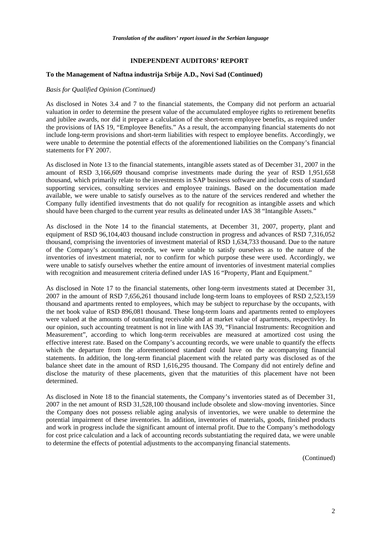# **INDEPENDENT AUDITORS' REPORT**

# **To the Management of Naftna industrija Srbije A.D., Novi Sad (Continued)**

### *Basis for Qualified Opinion (Continued)*

As disclosed in Notes 3.4 and 7 to the financial statements, the Company did not perform an actuarial valuation in order to determine the present value of the accumulated employee rights to retirement benefits and jubilee awards, nor did it prepare a calculation of the short-term employee benefits, as required under the provisions of IAS 19, "Employee Benefits." As a result, the accompanying financial statements do not include long-term provisions and short-term liabilities with respect to employee benefits. Accordingly, we were unable to determine the potential effects of the aforementioned liabilities on the Company's financial statements for FY 2007.

As disclosed in Note 13 to the financial statements, intangible assets stated as of December 31, 2007 in the amount of RSD 3,166,609 thousand comprise investments made during the year of RSD 1,951,658 thousand, which primarily relate to the investments in SAP business software and include costs of standard supporting services, consulting services and employee trainings. Based on the documentation made available, we were unable to satisfy ourselves as to the nature of the services rendered and whether the Company fully identified investments that do not qualify for recognition as intangible assets and which should have been charged to the current year results as delineated under IAS 38 "Intangible Assets."

As disclosed in the Note 14 to the financial statements, at December 31, 2007, property, plant and equipment of RSD 96,104,403 thousand include construction in progress and advances of RSD 7,316,052 thousand, comprising the inventories of investment material of RSD 1,634,733 thousand. Due to the nature of the Company's accounting records, we were unable to satisfy ourselves as to the nature of the inventories of investment material, nor to confirm for which purpose these were used. Accordingly, we were unable to satisfy ourselves whether the entire amount of inventories of investment material complies with recognition and measurement criteria defined under IAS 16 "Property, Plant and Equipment."

As disclosed in Note 17 to the financial statements, other long-term investments stated at December 31, 2007 in the amount of RSD 7,656,261 thousand include long-term loans to employees of RSD 2,523,159 thousand and apartments rented to employees, which may be subject to repurchase by the occupants, with the net book value of RSD 896,081 thousand. These long-term loans and apartments rented to employees were valued at the amounts of outstanding receivable and at market value of apartments, respectivley. In our opinion, such accounting treatment is not in line with IAS 39, "Financial Instruments: Recognition and Measurement", according to which long-term receivables are measured at amortized cost using the effective interest rate. Based on the Company's accounting records, we were unable to quantify the effects which the departure from the aforementioned standard could have on the accompanying financial statements. In addition, the long-term financial placement with the related party was disclosed as of the balance sheet date in the amount of RSD 1,616,295 thousand. The Company did not entirely define and disclose the maturity of these placements, given that the maturities of this placement have not been determined.

As disclosed in Note 18 to the financial statements, the Company's inventories stated as of December 31, 2007 in the net amount of RSD 31,528,100 thousand include obsolete and slow-moving inventories. Since the Company does not possess reliable aging analysis of inventories, we were unable to determine the potential impairment of these inventories. In addition, inventories of materials, goods, finished products and work in progress include the significant amount of internal profit. Due to the Company's methodology for cost price calculation and a lack of accounting records substantiating the required data, we were unable to determine the effects of potential adjustments to the accompanying financial statements.

(Continued)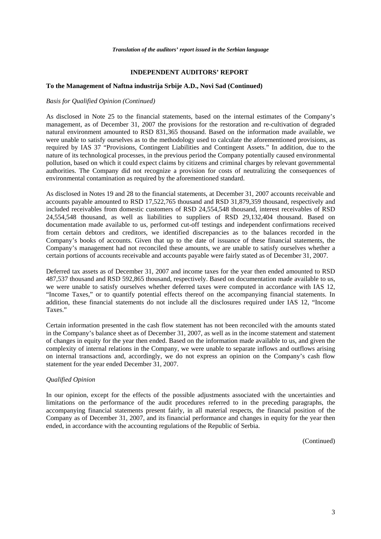### **INDEPENDENT AUDITORS' REPORT**

### **To the Management of Naftna industrija Srbije A.D., Novi Sad (Continued)**

# *Basis for Qualified Opinion (Continued)*

As disclosed in Note 25 to the financial statements, based on the internal estimates of the Company's management, as of December 31, 2007 the provisions for the restoration and re-cultivation of degraded natural environment amounted to RSD 831,365 thousand. Based on the information made available, we were unable to satisfy ourselves as to the methodology used to calculate the aforementioned provisions, as required by IAS 37 "Provisions, Contingent Liabilities and Contingent Assets." In addition, due to the nature of its technological processes, in the previous period the Company potentially caused environmental pollution, based on which it could expect claims by citizens and criminal charges by relevant governmental authorities. The Company did not recognize a provision for costs of neutralizing the consequences of environmental contamination as required by the aforementioned standard.

As disclosed in Notes 19 and 28 to the financial statements, at December 31, 2007 accounts receivable and accounts payable amounted to RSD 17,522,765 thousand and RSD 31,879,359 thousand, respectively and included receivables from domestic customers of RSD 24,554,548 thousand, interest receivables of RSD 24,554,548 thousand, as well as liabilities to suppliers of RSD 29,132,404 thousand. Based on documentation made available to us, performed cut-off testings and independent confirmations received from certain debtors and creditors, we identified discrepancies as to the balances recorded in the Company's books of accounts. Given that up to the date of issuance of these financial statements, the Company's management had not reconciled these amounts, we are unable to satisfy ourselves whether a certain portions of accounts receivable and accounts payable were fairly stated as of December 31, 2007.

Deferred tax assets as of December 31, 2007 and income taxes for the year then ended amounted to RSD 487,537 thousand and RSD 592,865 thousand, respectively. Based on documentation made available to us, we were unable to satisfy ourselves whether deferred taxes were computed in accordance with IAS 12, "Income Taxes," or to quantify potential effects thereof on the accompanying financial statements. In addition, these financial statements do not include all the disclosures required under IAS 12, "Income Taxes."

Certain information presented in the cash flow statement has not been reconciled with the amounts stated in the Company's balance sheet as of December 31, 2007, as well as in the income statement and statement of changes in equity for the year then ended. Based on the information made available to us, and given the complexity of internal relations in the Company, we were unable to separate inflows and outflows arising on internal transactions and, accordingly, we do not express an opinion on the Company's cash flow statement for the year ended December 31, 2007.

### *Qualified Opinion*

In our opinion, except for the effects of the possible adjustments associated with the uncertainties and limitations on the performance of the audit procedures referred to in the preceding paragraphs, the accompanying financial statements present fairly, in all material respects, the financial position of the Company as of December 31, 2007, and its financial performance and changes in equity for the year then ended, in accordance with the accounting regulations of the Republic of Serbia.

(Continued)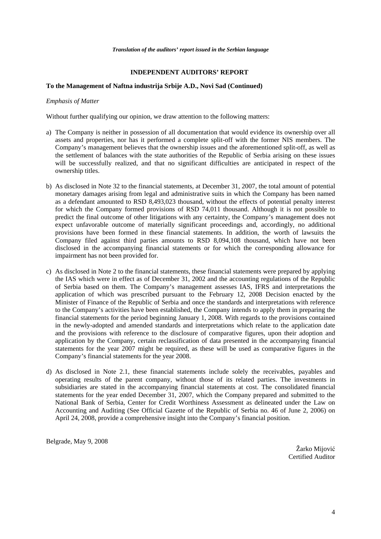# **INDEPENDENT AUDITORS' REPORT**

# **To the Management of Naftna industrija Srbije A.D., Novi Sad (Continued)**

### *Emphasis of Matter*

Without further qualifying our opinion, we draw attention to the following matters:

- a) The Company is neither in possession of all documentation that would evidence its ownership over all assets and properties, nor has it performed a complete split-off with the former NIS members. The Company's management believes that the ownership issues and the aforementioned split-off, as well as the settlement of balances with the state authorities of the Republic of Serbia arising on these issues will be successfully realized, and that no significant difficulties are anticipated in respect of the ownership titles.
- b) As disclosed in Note 32 to the financial statements, at December 31, 2007, the total amount of potential monetary damages arising from legal and administrative suits in which the Company has been named as a defendant amounted to RSD 8,493,023 thousand, without the effects of potential penalty interest for which the Company formed provisions of RSD 74,011 thousand. Although it is not possible to predict the final outcome of other litigations with any certainty, the Company's management does not expect unfavorable outcome of materially significant proceedings and, accordingly, no additional provisions have been formed in these financial statements. In addition, the worth of lawsuits the Company filed against third parties amounts to RSD 8,094,108 thousand, which have not been disclosed in the accompanying financial statements or for which the corresponding allowance for impairment has not been provided for.
- c) As disclosed in Note 2 to the financial statements, these financial statements were prepared by applying the IAS which were in effect as of December 31, 2002 and the accounting regulations of the Republic of Serbia based on them. The Company's management assesses IAS, IFRS and interpretations the application of which was prescribed pursuant to the February 12, 2008 Decision enacted by the Minister of Finance of the Republic of Serbia and once the standards and interpretations with reference to the Company's activities have been established, the Company intends to apply them in preparing the financial statements for the period beginning January 1, 2008. With regards to the provisions contained in the newly-adopted and amended standards and interpretations which relate to the application date and the provisions with reference to the disclosure of comparative figures, upon their adoption and application by the Company, certain reclassification of data presented in the accompanying financial statements for the year 2007 might be required, as these will be used as comparative figures in the Company's financial statements for the year 2008.
- d) As disclosed in Note 2.1, these financial statements include solely the receivables, payables and operating results of the parent company, without those of its related parties. The investments in subsidiaries are stated in the accompanying financial statements at cost. The consolidated financial statements for the year ended December 31, 2007, which the Company prepared and submitted to the National Bank of Serbia, Center for Credit Worthiness Assessment as delineated under the Law on Accounting and Auditing (See Official Gazette of the Republic of Serbia no. 46 of June 2, 2006) on April 24, 2008, provide a comprehensive insight into the Company's financial position.

Belgrade, May 9, 2008

Žarko Mijović Certified Auditor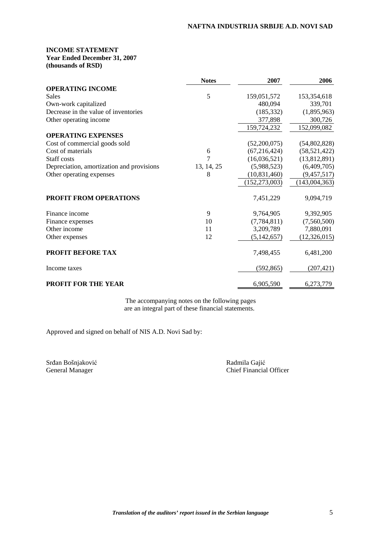# **INCOME STATEMENT Year Ended December 31, 2007 (thousands of RSD)**

|                                           | <b>Notes</b> | 2007            | 2006           |
|-------------------------------------------|--------------|-----------------|----------------|
| <b>OPERATING INCOME</b>                   |              |                 |                |
| <b>Sales</b>                              | 5            | 159,051,572     | 153,354,618    |
| Own-work capitalized                      |              | 480,094         | 339,701        |
| Decrease in the value of inventories      |              | (185, 332)      | (1,895,963)    |
| Other operating income                    |              | 377,898         | 300,726        |
|                                           |              | 159,724,232     | 152,099,082    |
| <b>OPERATING EXPENSES</b>                 |              |                 |                |
| Cost of commercial goods sold             |              | (52,200,075)    | (54,802,828)   |
| Cost of materials                         | 6            | (67, 216, 424)  | (58, 521, 422) |
| Staff costs                               | 7            | (16,036,521)    | (13,812,891)   |
| Depreciation, amortization and provisions | 13, 14, 25   | (5,988,523)     | (6,409,705)    |
| Other operating expenses                  | 8            | (10, 831, 460)  | (9, 457, 517)  |
|                                           |              | (152, 273, 003) | (143,004,363)  |
| <b>PROFIT FROM OPERATIONS</b>             |              | 7,451,229       | 9,094,719      |
| Finance income                            | 9            | 9,764,905       | 9,392,905      |
| Finance expenses                          | 10           | (7,784,811)     | (7,560,500)    |
| Other income                              | 11           | 3,209,789       | 7,880,091      |
| Other expenses                            | 12           | (5,142,657)     | (12, 326, 015) |
| PROFIT BEFORE TAX                         |              | 7,498,455       | 6,481,200      |
| Income taxes                              |              | (592, 865)      | (207, 421)     |
| <b>PROFIT FOR THE YEAR</b>                |              | 6,905,590       | 6,273,779      |

The accompanying notes on the following pages are an integral part of these financial statements.

Approved and signed on behalf of NIS A.D. Novi Sad by:

Srđan Bošnjaković General Manager

 Radmila Gajić Chief Financial Officer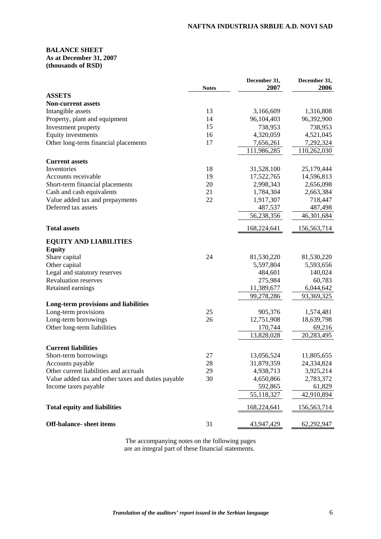# **BALANCE SHEET**

# **As at December 31, 2007**

**(thousands of RSD)** 

|                                                    | <b>Notes</b> | December 31,<br>2007 | December 31,<br>2006 |
|----------------------------------------------------|--------------|----------------------|----------------------|
| <b>ASSETS</b>                                      |              |                      |                      |
| <b>Non-current assets</b>                          |              |                      |                      |
| Intangible assets                                  | 13           | 3,166,609            | 1,316,808            |
| Property, plant and equipment                      | 14           | 96,104,403           | 96,392,900           |
| Investment property                                | 15           | 738,953              | 738,953              |
| <b>Equity investments</b>                          | 16           | 4,320,059            | 4,521,045            |
| Other long-term financial placements               | 17           | 7,656,261            | 7,292,324            |
|                                                    |              | 111,986,285          | 110,262,030          |
| <b>Current assets</b>                              |              |                      |                      |
| Inventories                                        | 18           | 31,528,100           | 25,179,444           |
| Accounts receivable                                | 19           | 17,522,765           | 14,596,813           |
| Short-term financial placements                    | 20           | 2,998,343            | 2,656,098            |
| Cash and cash equivalents                          | 21           | 1,784,304            | 2,663,384            |
| Value added tax and prepayments                    | 22           | 1,917,307            | 718,447              |
| Deferred tax assets                                |              | 487,537              | 487,498              |
|                                                    |              | 56,238,356           | 46,301,684           |
| <b>Total assets</b>                                |              | 168,224,641          | 156,563,714          |
| <b>EQUITY AND LIABILITIES</b>                      |              |                      |                      |
| <b>Equity</b>                                      |              |                      |                      |
| Share capital                                      | 24           | 81,530,220           | 81,530,220           |
| Other capital                                      |              | 5,597,804            | 5,593,656            |
| Legal and statutory reserves                       |              | 484,601              | 140,024              |
| <b>Revaluation reserves</b>                        |              | 275,984              | 60,783               |
| Retained earnings                                  |              | 11,389,677           | 6,044,642            |
|                                                    |              | 99,278,286           | 93,369,325           |
| <b>Long-term provisions and liabilities</b>        |              |                      |                      |
| Long-term provisions                               | 25           | 905,376              | 1,574,481            |
| Long-term borrowings                               | 26           | 12,751,908           | 18,639,798           |
| Other long-term liabilities                        |              | 170,744              | 69,216               |
|                                                    |              | 13,828,028           | 20,283,495           |
| <b>Current liabilities</b>                         |              |                      |                      |
| Short-term borrowings                              | 27           | 13,056,524           | 11,805,655           |
| Accounts payable                                   | 28           | 31,879,359           | 24,334,824           |
| Other current liabilities and accruals             | 29           | 4,938,713            | 3,925,214            |
| Value added tax and other taxes and duties payable | 30           | 4,650,866            | 2,783,372            |
| Income taxes payable                               |              | 592,865              | 61,829               |
|                                                    |              | 55,118,327           | 42,910,894           |
| <b>Total equity and liabilities</b>                |              | 168,224,641          | 156,563,714          |
| <b>Off-balance-</b> sheet items                    | 31           | 43,947,429           | 62,292,947           |

The accompanying notes on the following pages are an integral part of these financial statements.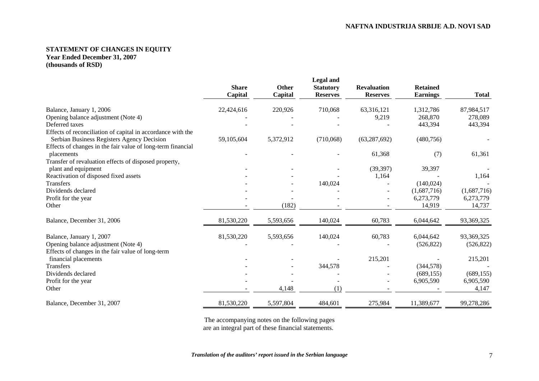### **STATEMENT OF CHANGES IN EQUITY Year Ended December 31, 2007 (thousands of RSD)**

|                                                             | <b>Share</b><br>Capital | <b>Other</b><br>Capital | <b>Legal</b> and<br><b>Statutory</b><br><b>Reserves</b> | <b>Revaluation</b><br><b>Reserves</b> | <b>Retained</b><br><b>Earnings</b> | <b>Total</b> |
|-------------------------------------------------------------|-------------------------|-------------------------|---------------------------------------------------------|---------------------------------------|------------------------------------|--------------|
| Balance, January 1, 2006                                    | 22,424,616              | 220,926                 | 710,068                                                 | 63,316,121                            | 1,312,786                          | 87,984,517   |
| Opening balance adjustment (Note 4)                         |                         |                         |                                                         | 9,219                                 | 268,870                            | 278,089      |
| Deferred taxes                                              |                         |                         |                                                         |                                       | 443,394                            | 443,394      |
| Effects of reconciliation of capital in accordance with the |                         |                         |                                                         |                                       |                                    |              |
| Serbian Business Registers Agency Decision                  | 59,105,604              | 5,372,912               | (710,068)                                               | (63, 287, 692)                        | (480, 756)                         |              |
| Effects of changes in the fair value of long-term financial |                         |                         |                                                         |                                       |                                    |              |
| placements                                                  |                         |                         |                                                         | 61,368                                | (7)                                | 61,361       |
| Transfer of revaluation effects of disposed property,       |                         |                         |                                                         |                                       |                                    |              |
| plant and equipment                                         |                         |                         |                                                         | (39, 397)                             | 39,397                             |              |
| Reactivation of disposed fixed assets                       |                         |                         |                                                         | 1,164                                 |                                    | 1,164        |
| Transfers                                                   |                         |                         | 140,024                                                 |                                       | (140, 024)                         |              |
| Dividends declared                                          |                         |                         |                                                         |                                       | (1,687,716)                        | (1,687,716)  |
| Profit for the year                                         |                         |                         |                                                         |                                       | 6,273,779                          | 6,273,779    |
| Other                                                       |                         | (182)                   |                                                         |                                       | 14,919                             | 14,737       |
| Balance, December 31, 2006                                  | 81,530,220              | 5,593,656               | 140,024                                                 | 60,783                                | 6,044,642                          | 93,369,325   |
| Balance, January 1, 2007                                    | 81,530,220              | 5,593,656               | 140,024                                                 | 60,783                                | 6,044,642                          | 93,369,325   |
| Opening balance adjustment (Note 4)                         |                         |                         |                                                         |                                       | (526, 822)                         | (526, 822)   |
| Effects of changes in the fair value of long-term           |                         |                         |                                                         |                                       |                                    |              |
| financial placements                                        |                         |                         |                                                         | 215,201                               |                                    | 215,201      |
| <b>Transfers</b>                                            |                         |                         | 344,578                                                 |                                       | (344, 578)                         |              |
| Dividends declared                                          |                         |                         |                                                         |                                       | (689, 155)                         | (689, 155)   |
| Profit for the year                                         |                         |                         |                                                         |                                       | 6,905,590                          | 6,905,590    |
| Other                                                       |                         | 4,148                   | (1)                                                     |                                       |                                    | 4,147        |
| Balance, December 31, 2007                                  | 81,530,220              | 5,597,804               | 484,601                                                 | 275,984                               | 11,389,677                         | 99,278,286   |

The accompanying notes on the following pages are an integral part of these financial statements.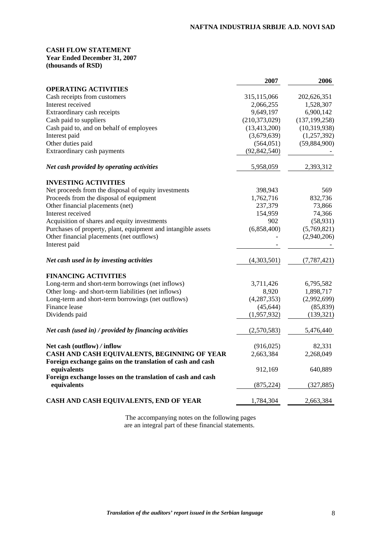# **CASH FLOW STATEMENT**

# **Year Ended December 31, 2007**

**(thousands of RSD)** 

|                                                                            | 2007            | 2006            |
|----------------------------------------------------------------------------|-----------------|-----------------|
| <b>OPERATING ACTIVITIES</b>                                                |                 |                 |
| Cash receipts from customers                                               | 315,115,066     | 202,626,351     |
| Interest received                                                          | 2,066,255       | 1,528,307       |
| Extraordinary cash receipts                                                | 9,649,197       | 6,900,142       |
| Cash paid to suppliers                                                     | (210, 373, 029) | (137, 199, 258) |
| Cash paid to, and on behalf of employees                                   | (13, 413, 200)  | (10,319,938)    |
| Interest paid                                                              | (3,679,639)     | (1,257,392)     |
| Other duties paid                                                          | (564, 051)      | (59,884,900)    |
| Extraordinary cash payments                                                | (92, 842, 540)  |                 |
| Net cash provided by operating activities                                  | 5,958,059       | 2,393,312       |
| <b>INVESTING ACTIVITIES</b>                                                |                 |                 |
| Net proceeds from the disposal of equity investments                       | 398,943         | 569             |
| Proceeds from the disposal of equipment                                    | 1,762,716       | 832,736         |
| Other financial placements (net)                                           | 237,379         | 73,866          |
| Interest received                                                          | 154,959         | 74,366          |
| Acquisition of shares and equity investments                               | 902             | (58, 931)       |
| Purchases of property, plant, equipment and intangible assets              | (6,858,400)     | (5,769,821)     |
| Other financial placements (net outflows)                                  |                 | (2,940,206)     |
| Interest paid                                                              |                 |                 |
| Net cash used in by investing activities                                   | (4,303,501)     | (7, 787, 421)   |
| <b>FINANCING ACTIVITIES</b>                                                |                 |                 |
| Long-term and short-term borrowings (net inflows)                          | 3,711,426       | 6,795,582       |
| Other long- and short-term liabilities (net inflows)                       | 8,920           | 1,898,717       |
| Long-term and short-term borrowings (net outflows)                         | (4, 287, 353)   | (2,992,699)     |
| Finance lease                                                              | (45, 644)       | (85, 839)       |
| Dividends paid                                                             | (1,957,932)     | (139, 321)      |
| Net cash (used in) / provided by financing activities                      | (2,570,583)     | 5,476,440       |
| Net cash (outflow) / inflow                                                | (916, 025)      | 82,331          |
| CASH AND CASH EQUIVALENTS, BEGINNING OF YEAR                               | 2,663,384       | 2,268,049       |
| Foreign exchange gains on the translation of cash and cash<br>equivalents  | 912,169         | 640,889         |
| Foreign exchange losses on the translation of cash and cash<br>equivalents | (875, 224)      | (327, 885)      |
|                                                                            |                 |                 |
| CASH AND CASH EQUIVALENTS, END OF YEAR                                     | 1,784,304       | 2,663,384       |

The accompanying notes on the following pages are an integral part of these financial statements.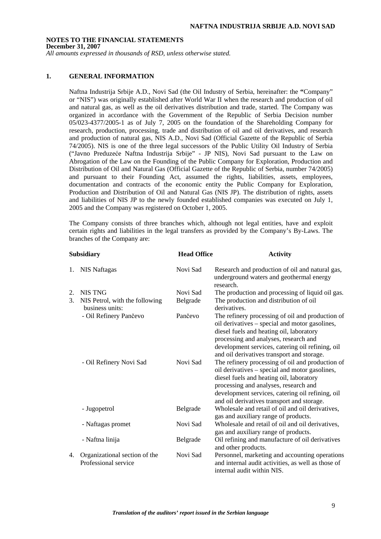**December 31, 2007** 

*All amounts expressed in thousands of RSD, unless otherwise stated.* 

### **1. GENERAL INFORMATION**

Naftna Industrija Srbije A.D., Novi Sad (the Oil Industry of Serbia, hereinafter: the **"**Company" or "NIS") was originally established after World War II when the research and production of oil and natural gas, as well as the oil derivatives distribution and trade, started. The Company was organized in accordance with the Government of the Republic of Serbia Decision number 05/023-4377/2005-1 as of July 7, 2005 on the foundation of the Shareholding Company for research, production, processing, trade and distribution of oil and oil derivatives, and research and production of natural gas, NIS A.D., Novi Sad (Official Gazette of the Republic of Serbia 74/2005). NIS is one of the three legal successors of the Public Utility Oil Industry of Serbia ("Javno Preduzeće Naftna Industrija Srbije" - JP NIS), Novi Sad pursuant to the Law on Abrogation of the Law on the Founding of the Public Company for Exploration, Production and Distribution of Oil and Natural Gas (Official Gazette of the Republic of Serbia, number 74/2005) and pursuant to their Founding Act, assumed the rights, liabilities, assets, employees, documentation and contracts of the economic entity the Public Company for Exploration, Production and Distribution of Oil and Natural Gas (NIS JP). The distribution of rights, assets and liabilities of NIS JP to the newly founded established companies was executed on July 1, 2005 and the Company was registered on October 1, 2005.

The Company consists of three branches which, although not legal entities, have and exploit certain rights and liabilities in the legal transfers as provided by the Company's By-Laws. The branches of the Company are:

|    | <b>Subsidiary</b>                                     | <b>Head Office</b> | <b>Activity</b>                                                                                                                                                                                                                                                                           |
|----|-------------------------------------------------------|--------------------|-------------------------------------------------------------------------------------------------------------------------------------------------------------------------------------------------------------------------------------------------------------------------------------------|
| 1. | <b>NIS Naftagas</b>                                   | Novi Sad           | Research and production of oil and natural gas,<br>underground waters and geothermal energy<br>research.                                                                                                                                                                                  |
| 2. | NIS TNG                                               | Novi Sad           | The production and processing of liquid oil gas.                                                                                                                                                                                                                                          |
| 3. | NIS Petrol, with the following<br>business units:     | Belgrade           | The production and distribution of oil<br>derivatives.                                                                                                                                                                                                                                    |
|    | - Oil Refinery Pančevo                                | Pančevo            | The refinery processing of oil and production of<br>oil derivatives – special and motor gasolines,<br>diesel fuels and heating oil, laboratory<br>processing and analyses, research and<br>development services, catering oil refining, oil<br>and oil derivatives transport and storage. |
|    | - Oil Refinery Novi Sad                               | Novi Sad           | The refinery processing of oil and production of<br>oil derivatives – special and motor gasolines,<br>diesel fuels and heating oil, laboratory<br>processing and analyses, research and<br>development services, catering oil refining, oil<br>and oil derivatives transport and storage. |
|    | - Jugopetrol                                          | Belgrade           | Wholesale and retail of oil and oil derivatives,<br>gas and auxiliary range of products.                                                                                                                                                                                                  |
|    | - Naftagas promet                                     | Novi Sad           | Wholesale and retail of oil and oil derivatives,<br>gas and auxiliary range of products.                                                                                                                                                                                                  |
|    | - Naftna linija                                       | Belgrade           | Oil refining and manufacture of oil derivatives<br>and other products.                                                                                                                                                                                                                    |
| 4. | Organizational section of the<br>Professional service | Novi Sad           | Personnel, marketing and accounting operations<br>and internal audit activities, as well as those of<br>internal audit within NIS.                                                                                                                                                        |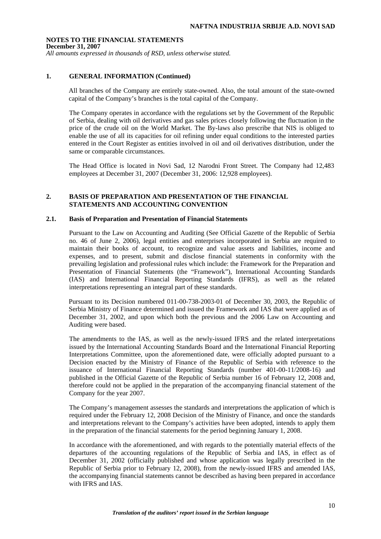**December 31, 2007** 

*All amounts expressed in thousands of RSD, unless otherwise stated.* 

# **1. GENERAL INFORMATION (Continued)**

All branches of the Company are entirely state-owned. Also, the total amount of the state-owned capital of the Company's branches is the total capital of the Company.

The Company operates in accordance with the regulations set by the Government of the Republic of Serbia, dealing with oil derivatives and gas sales prices closely following the fluctuation in the price of the crude oil on the World Market. The By-laws also prescribe that NIS is obliged to enable the use of all its capacities for oil refining under equal conditions to the interested parties entered in the Court Register as entities involved in oil and oil derivatives distribution, under the same or comparable circumstances.

The Head Office is located in Novi Sad, 12 Narodni Front Street. The Company had 12,483 employees at December 31, 2007 (December 31, 2006: 12,928 employees).

# **2. BASIS OF PREPARATION AND PRESENTATION OF THE FINANCIAL STATEMENTS AND ACCOUNTING CONVENTION**

# **2.1. Basis of Preparation and Presentation of Financial Statements**

Pursuant to the Law on Accounting and Auditing (See Official Gazette of the Republic of Serbia no. 46 of June 2, 2006), legal entities and enterprises incorporated in Serbia are required to maintain their books of account, to recognize and value assets and liabilities, income and expenses, and to present, submit and disclose financial statements in conformity with the prevailing legislation and professional rules which include: the Framework for the Preparation and Presentation of Financial Statements (the "Framework"), International Accounting Standards (IAS) and International Financial Reporting Standards (IFRS), as well as the related interpretations representing an integral part of these standards.

Pursuant to its Decision numbered 011-00-738-2003-01 of December 30, 2003, the Republic of Serbia Ministry of Finance determined and issued the Framework and IAS that were applied as of December 31, 2002, and upon which both the previous and the 2006 Law on Accounting and Auditing were based.

The amendments to the IAS, as well as the newly-issued IFRS and the related interpretations issued by the International Accounting Standards Board and the International Financial Reporting Interpretations Committee, upon the aforementioned date, were officially adopted pursuant to a Decision enacted by the Ministry of Finance of the Republic of Serbia with reference to the issuance of International Financial Reporting Standards (number 401-00-11/2008-16) and published in the Official Gazette of the Republic of Serbia number 16 of February 12, 2008 and, therefore could not be applied in the preparation of the accompanying financial statement of the Company for the year 2007.

The Company's management assesses the standards and interpretations the application of which is required under the February 12, 2008 Decision of the Ministry of Finance, and once the standards and interpretations relevant to the Company's activities have been adopted, intends to apply them in the preparation of the financial statements for the period beginning January 1, 2008.

In accordance with the aforementioned, and with regards to the potentially material effects of the departures of the accounting regulations of the Republic of Serbia and IAS, in effect as of December 31, 2002 (officially published and whose application was legally prescribed in the Republic of Serbia prior to February 12, 2008), from the newly-issued IFRS and amended IAS, the accompanying financial statements cannot be described as having been prepared in accordance with IFRS and IAS.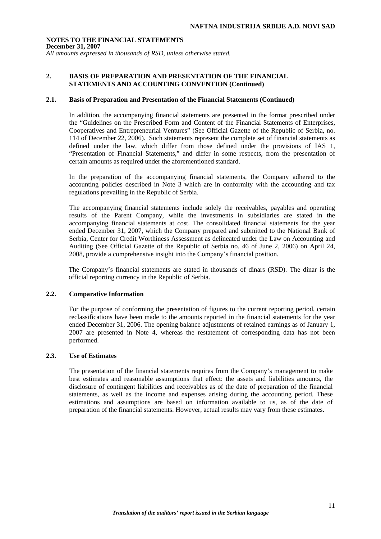# **NOTES TO THE FINANCIAL STATEMENTS December 31, 2007**

*All amounts expressed in thousands of RSD, unless otherwise stated.* 

# **2. BASIS OF PREPARATION AND PRESENTATION OF THE FINANCIAL STATEMENTS AND ACCOUNTING CONVENTION (Continued)**

### **2.1. Basis of Preparation and Presentation of the Financial Statements (Continued)**

In addition, the accompanying financial statements are presented in the format prescribed under the "Guidelines on the Prescribed Form and Content of the Financial Statements of Enterprises, Cooperatives and Entrepreneurial Ventures" (See Official Gazette of the Republic of Serbia, no. 114 of December 22, 2006). Such statements represent the complete set of financial statements as defined under the law, which differ from those defined under the provisions of IAS 1, "Presentation of Financial Statements," and differ in some respects, from the presentation of certain amounts as required under the aforementioned standard.

In the preparation of the accompanying financial statements, the Company adhered to the accounting policies described in Note 3 which are in conformity with the accounting and tax regulations prevailing in the Republic of Serbia.

The accompanying financial statements include solely the receivables, payables and operating results of the Parent Company, while the investments in subsidiaries are stated in the accompanying financial statements at cost. The consolidated financial statements for the year ended December 31, 2007, which the Company prepared and submitted to the National Bank of Serbia, Center for Credit Worthiness Assessment as delineated under the Law on Accounting and Auditing (See Official Gazette of the Republic of Serbia no. 46 of June 2, 2006) on April 24, 2008, provide a comprehensive insight into the Company's financial position.

The Company's financial statements are stated in thousands of dinars (RSD). The dinar is the official reporting currency in the Republic of Serbia.

# **2.2. Comparative Information**

For the purpose of conforming the presentation of figures to the current reporting period, certain reclassifications have been made to the amounts reported in the financial statements for the year ended December 31, 2006. The opening balance adjustments of retained earnings as of January 1, 2007 are presented in Note 4, whereas the restatement of corresponding data has not been performed.

### **2.3. Use of Estimates**

The presentation of the financial statements requires from the Company's management to make best estimates and reasonable assumptions that effect: the assets and liabilities amounts, the disclosure of contingent liabilities and receivables as of the date of preparation of the financial statements, as well as the income and expenses arising during the accounting period. These estimations and assumptions are based on information available to us, as of the date of preparation of the financial statements. However, actual results may vary from these estimates.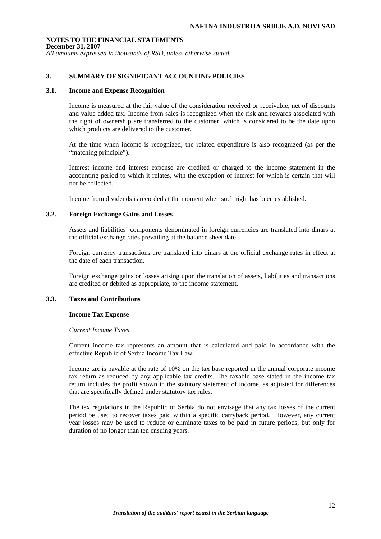**December 31, 2007** 

*All amounts expressed in thousands of RSD, unless otherwise stated.* 

# **3. SUMMARY OF SIGNIFICANT ACCOUNTING POLICIES**

### **3.1. Income and Expense Recognition**

Income is measured at the fair value of the consideration received or receivable, net of discounts and value added tax. Income from sales is recognized when the risk and rewards associated with the right of ownership are transferred to the customer, which is considered to be the date upon which products are delivered to the customer.

At the time when income is recognized, the related expenditure is also recognized (as per the "matching principle").

Interest income and interest expense are credited or charged to the income statement in the accounting period to which it relates, with the exception of interest for which is certain that will not be collected.

Income from dividends is recorded at the moment when such right has been established.

### **3.2. Foreign Exchange Gains and Losses**

Assets and liabilities' components denominated in foreign currencies are translated into dinars at the official exchange rates prevailing at the balance sheet date.

Foreign currency transactions are translated into dinars at the official exchange rates in effect at the date of each transaction.

Foreign exchange gains or losses arising upon the translation of assets, liabilities and transactions are credited or debited as appropriate, to the income statement.

### **3.3. Taxes and Contributions**

### **Income Tax Expense**

### *Current Income Taxes*

Current income tax represents an amount that is calculated and paid in accordance with the effective Republic of Serbia Income Tax Law.

Income tax is payable at the rate of 10% on the tax base reported in the annual corporate income tax return as reduced by any applicable tax credits. The taxable base stated in the income tax return includes the profit shown in the statutory statement of income, as adjusted for differences that are specifically defined under statutory tax rules.

The tax regulations in the Republic of Serbia do not envisage that any tax losses of the current period be used to recover taxes paid within a specific carryback period. However, any current year losses may be used to reduce or eliminate taxes to be paid in future periods, but only for duration of no longer than ten ensuing years.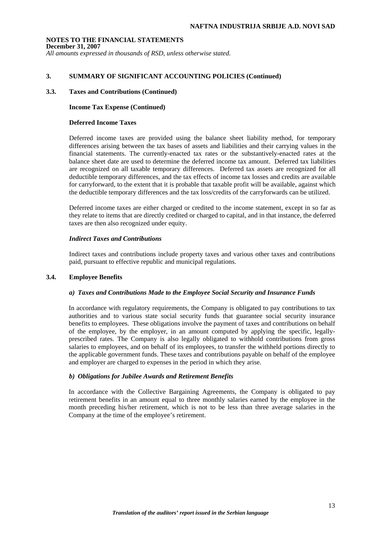**December 31, 2007** 

*All amounts expressed in thousands of RSD, unless otherwise stated.* 

# **3. SUMMARY OF SIGNIFICANT ACCOUNTING POLICIES (Continued)**

### **3.3. Taxes and Contributions (Continued)**

### **Income Tax Expense (Continued)**

### **Deferred Income Taxes**

Deferred income taxes are provided using the balance sheet liability method, for temporary differences arising between the tax bases of assets and liabilities and their carrying values in the financial statements. The currently-enacted tax rates or the substantively-enacted rates at the balance sheet date are used to determine the deferred income tax amount. Deferred tax liabilities are recognized on all taxable temporary differences. Deferred tax assets are recognized for all deductible temporary differences, and the tax effects of income tax losses and credits are available for carryforward, to the extent that it is probable that taxable profit will be available, against which the deductible temporary differences and the tax loss/credits of the carryforwards can be utilized.

Deferred income taxes are either charged or credited to the income statement, except in so far as they relate to items that are directly credited or charged to capital, and in that instance, the deferred taxes are then also recognized under equity.

### *Indirect Taxes and Contributions*

Indirect taxes and contributions include property taxes and various other taxes and contributions paid, pursuant to effective republic and municipal regulations.

### **3.4. Employee Benefits**

### *a) Taxes and Contributions Made to the Employee Social Security and Insurance Funds*

In accordance with regulatory requirements, the Company is obligated to pay contributions to tax authorities and to various state social security funds that guarantee social security insurance benefits to employees. These obligations involve the payment of taxes and contributions on behalf of the employee, by the employer, in an amount computed by applying the specific, legallyprescribed rates. The Company is also legally obligated to withhold contributions from gross salaries to employees, and on behalf of its employees, to transfer the withheld portions directly to the applicable government funds. These taxes and contributions payable on behalf of the employee and employer are charged to expenses in the period in which they arise.

### *b) Obligations for Jubilee Awards and Retirement Benefits*

In accordance with the Collective Bargaining Agreements, the Company is obligated to pay retirement benefits in an amount equal to three monthly salaries earned by the employee in the month preceding his/her retirement, which is not to be less than three average salaries in the Company at the time of the employee's retirement.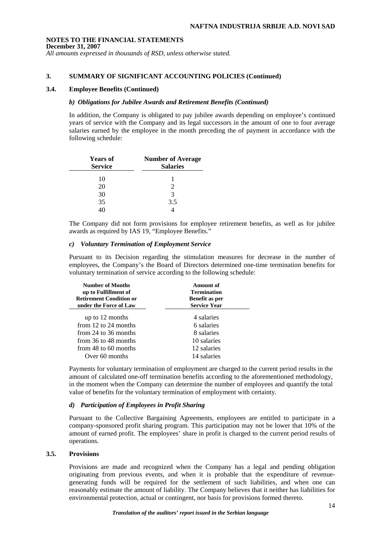**December 31, 2007** 

*All amounts expressed in thousands of RSD, unless otherwise stated.* 

# **3. SUMMARY OF SIGNIFICANT ACCOUNTING POLICIES (Continued)**

# **3.4. Employee Benefits (Continued)**

### *b) Obligations for Jubilee Awards and Retirement Benefits (Continued)*

In addition, the Company is obligated to pay jubilee awards depending on employee's continued years of service with the Company and its legal successors in the amount of one to four average salaries earned by the employee in the month preceding the of payment in accordance with the following schedule:

| <b>Years of</b><br><b>Service</b> | <b>Number of Average</b><br><b>Salaries</b> |
|-----------------------------------|---------------------------------------------|
| 10                                |                                             |
| 20                                | 2                                           |
| 30                                | 3                                           |
| 35                                | 3.5                                         |
| 1Λ                                |                                             |

The Company did not form provisions for employee retirement benefits, as well as for jubilee awards as required by IAS 19, "Employee Benefits."

### *c) Voluntary Termination of Employment Service*

Pursuant to its Decision regarding the stimulation measures for decrease in the number of employees, the Company's the Board of Directors determined one-time termination benefits for voluntary termination of service according to the following schedule:

| <b>Number of Months</b><br>up to Fulfillment of<br><b>Retirement Condition or</b><br>under the Force of Law | Amount of<br><b>Termination</b><br>Benefit as per<br><b>Service Year</b> |
|-------------------------------------------------------------------------------------------------------------|--------------------------------------------------------------------------|
| up to 12 months                                                                                             | 4 salaries                                                               |
| from 12 to 24 months                                                                                        | 6 salaries                                                               |
| from 24 to 36 months                                                                                        | 8 salaries                                                               |
| from 36 to 48 months                                                                                        | 10 salaries                                                              |
| from 48 to 60 months                                                                                        | 12 salaries                                                              |
| Over 60 months                                                                                              | 14 salaries                                                              |

Payments for voluntary termination of employment are charged to the current period results in the amount of calculated one-off termination benefits according to the aforementioned methodology, in the moment when the Company can determine the number of employees and quantify the total value of benefits for the voluntary termination of employment with certainty.

# *d) Participation of Employees in Profit Sharing*

Pursuant to the Collective Bargaining Agreements, employees are entitled to participate in a company-sponsored profit sharing program. This participation may not be lower that 10% of the amount of earned profit. The employees' share in profit is charged to the current period results of operations.

### **3.5. Provisions**

Provisions are made and recognized when the Company has a legal and pending obligation originating from previous events, and when it is probable that the expenditure of revenuegenerating funds will be required for the settlement of such liabilities, and when one can reasonably estimate the amount of liability. The Company believes that it neither has liabilities for environmental protection, actual or contingent, nor basis for provisions formed thereto.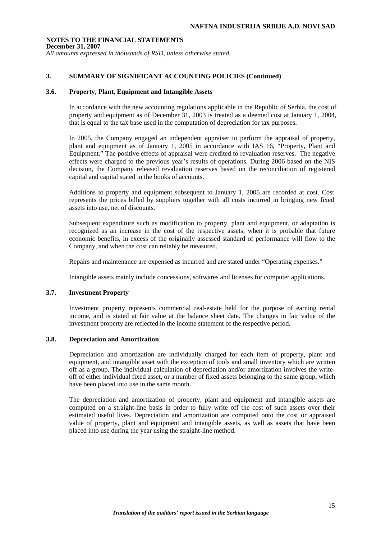**December 31, 2007** 

*All amounts expressed in thousands of RSD, unless otherwise stated.* 

# **3. SUMMARY OF SIGNIFICANT ACCOUNTING POLICIES (Continued)**

### **3.6. Property, Plant, Equipment and Intangible Assets**

In accordance with the new accounting regulations applicable in the Republic of Serbia, the cost of property and equipment as of December 31, 2003 is treated as a deemed cost at January 1, 2004, that is equal to the tax base used in the computation of depreciation for tax purposes.

In 2005, the Company engaged an independent appraiser to perform the appraisal of property, plant and equipment as of January 1, 2005 in accordance with IAS 16, "Property, Plant and Equipment." The positive effects of appraisal were credited to revaluation reserves. The negative effects were charged to the previous year's results of operations. During 2006 based on the NIS decision, the Company released revaluation reserves based on the reconciliation of registered capital and capital stated in the books of accounts.

 Additions to property and equipment subsequent to January 1, 2005 are recorded at cost. Cost represents the prices billed by suppliers together with all costs incurred in bringing new fixed assets into use, net of discounts.

Subsequent expenditure such as modification to property, plant and equipment, or adaptation is recognized as an increase in the cost of the respective assets, when it is probable that future economic benefits, in excess of the originally assessed standard of performance will flow to the Company, and when the cost can reliably be measured.

Repairs and maintenance are expensed as incurred and are stated under "Operating expenses."

Intangible assets mainly include concessions, softwares and licenses for computer applications.

### **3.7. Investment Property**

Investment property represents commercial real-estate held for the purpose of earning rental income, and is stated at fair value at the balance sheet date. The changes in fair value of the investment property are reflected in the income statement of the respective period.

### **3.8. Depreciation and Amortization**

Depreciation and amortization are individually charged for each item of property, plant and equipment, and intangible asset with the exception of tools and small inventory which are written off as a group. The individual calculation of depreciation and/or amortization involves the writeoff of either individual fixed asset, or a number of fixed assets belonging to the same group, which have been placed into use in the same month.

The depreciation and amortization of property, plant and equipment and intangible assets are computed on a straight-line basis in order to fully write off the cost of such assets over their estimated useful lives. Depreciation and amortization are computed onto the cost or appraised value of property, plant and equipment and intangible assets, as well as assets that have been placed into use during the year using the straight-line method.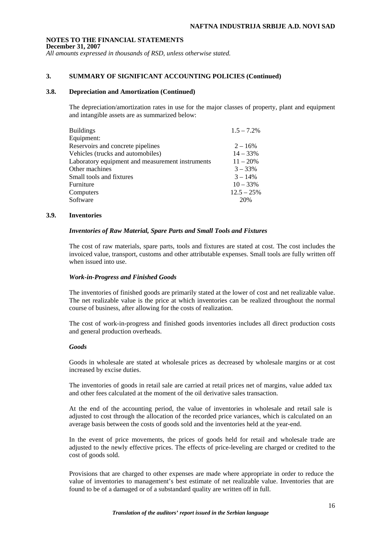**December 31, 2007** 

*All amounts expressed in thousands of RSD, unless otherwise stated.* 

# **3. SUMMARY OF SIGNIFICANT ACCOUNTING POLICIES (Continued)**

### **3.8. Depreciation and Amortization (Continued)**

The depreciation/amortization rates in use for the major classes of property, plant and equipment and intangible assets are as summarized below:

| <b>Buildings</b>                                 | $1.5 - 7.2\%$ |
|--------------------------------------------------|---------------|
| Equipment:                                       |               |
| Reservoirs and concrete pipelines                | $2 - 16%$     |
| Vehicles (trucks and automobiles)                | $14 - 33%$    |
| Laboratory equipment and measurement instruments | $11 - 20\%$   |
| Other machines                                   | $3 - 33\%$    |
| Small tools and fixtures                         | $3 - 14\%$    |
| Furniture                                        | $10 - 33%$    |
| Computers                                        | $12.5 - 25%$  |
| Software                                         | 20%           |

### **3.9. Inventories**

### *Inventories of Raw Material, Spare Parts and Small Tools and Fixtures*

The cost of raw materials, spare parts, tools and fixtures are stated at cost. The cost includes the invoiced value, transport, customs and other attributable expenses. Small tools are fully written off when issued into use.

### *Work-in-Progress and Finished Goods*

The inventories of finished goods are primarily stated at the lower of cost and net realizable value. The net realizable value is the price at which inventories can be realized throughout the normal course of business, after allowing for the costs of realization.

The cost of work-in-progress and finished goods inventories includes all direct production costs and general production overheads.

### *Goods*

Goods in wholesale are stated at wholesale prices as decreased by wholesale margins or at cost increased by excise duties.

The inventories of goods in retail sale are carried at retail prices net of margins, value added tax and other fees calculated at the moment of the oil derivative sales transaction.

At the end of the accounting period, the value of inventories in wholesale and retail sale is adjusted to cost through the allocation of the recorded price variances, which is calculated on an average basis between the costs of goods sold and the inventories held at the year-end.

In the event of price movements, the prices of goods held for retail and wholesale trade are adjusted to the newly effective prices. The effects of price-leveling are charged or credited to the cost of goods sold.

Provisions that are charged to other expenses are made where appropriate in order to reduce the value of inventories to management's best estimate of net realizable value. Inventories that are found to be of a damaged or of a substandard quality are written off in full.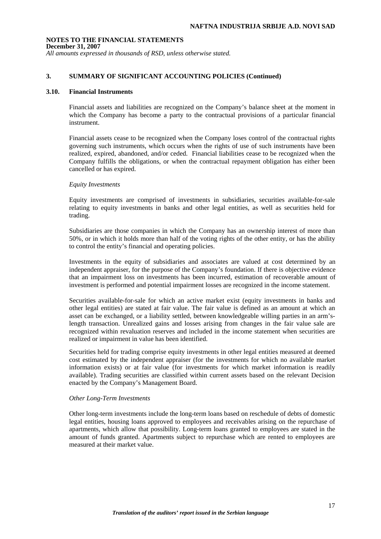**December 31, 2007** 

*All amounts expressed in thousands of RSD, unless otherwise stated.* 

# **3. SUMMARY OF SIGNIFICANT ACCOUNTING POLICIES (Continued)**

### **3.10. Financial Instruments**

Financial assets and liabilities are recognized on the Company's balance sheet at the moment in which the Company has become a party to the contractual provisions of a particular financial instrument.

Financial assets cease to be recognized when the Company loses control of the contractual rights governing such instruments, which occurs when the rights of use of such instruments have been realized, expired, abandoned, and/or ceded. Financial liabilities cease to be recognized when the Company fulfills the obligations, or when the contractual repayment obligation has either been cancelled or has expired.

### *Equity Investments*

Equity investments are comprised of investments in subsidiaries, securities available-for-sale relating to equity investments in banks and other legal entities, as well as securities held for trading.

Subsidiaries are those companies in which the Company has an ownership interest of more than 50%, or in which it holds more than half of the voting rights of the other entity, or has the ability to control the entity's financial and operating policies.

Investments in the equity of subsidiaries and associates are valued at cost determined by an independent appraiser, for the purpose of the Company's foundation. If there is objective evidence that an impairment loss on investments has been incurred, estimation of recoverable amount of investment is performed and potential impairment losses are recognized in the income statement.

Securities available-for-sale for which an active market exist (equity investments in banks and other legal entities) are stated at fair value. The fair value is defined as an amount at which an asset can be exchanged, or a liability settled, between knowledgeable willing parties in an arm'slength transaction. Unrealized gains and losses arising from changes in the fair value sale are recognized within revaluation reserves and included in the income statement when securities are realized or impairment in value has been identified.

Securities held for trading comprise equity investments in other legal entities measured at deemed cost estimated by the independent appraiser (for the investments for which no available market information exists) or at fair value (for investments for which market information is readily available). Trading securities are classified within current assets based on the relevant Decision enacted by the Company's Management Board.

### *Other Long-Term Investments*

Other long-term investments include the long-term loans based on reschedule of debts of domestic legal entities, housing loans approved to employees and receivables arising on the repurchase of apartments, which allow that possibility. Long-term loans granted to employees are stated in the amount of funds granted. Apartments subject to repurchase which are rented to employees are measured at their market value.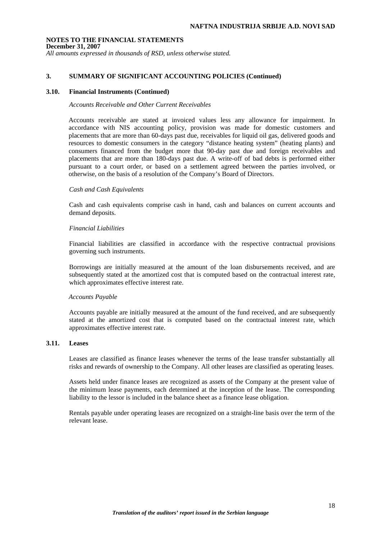**December 31, 2007** 

*All amounts expressed in thousands of RSD, unless otherwise stated.* 

# **3. SUMMARY OF SIGNIFICANT ACCOUNTING POLICIES (Continued)**

### **3.10. Financial Instruments (Continued)**

### *Accounts Receivable and Other Current Receivables*

Accounts receivable are stated at invoiced values less any allowance for impairment. In accordance with NIS accounting policy, provision was made for domestic customers and placements that are more than 60-days past due, receivables for liquid oil gas, delivered goods and resources to domestic consumers in the category "distance heating system" (heating plants) and consumers financed from the budget more that 90-day past due and foreign receivables and placements that are more than 180-days past due. A write-off of bad debts is performed either pursuant to a court order, or based on a settlement agreed between the parties involved, or otherwise, on the basis of a resolution of the Company's Board of Directors.

### *Cash and Cash Equivalents*

Cash and cash equivalents comprise cash in hand, cash and balances on current accounts and demand deposits.

### *Financial Liabilities*

Financial liabilities are classified in accordance with the respective contractual provisions governing such instruments.

Borrowings are initially measured at the amount of the loan disbursements received, and are subsequently stated at the amortized cost that is computed based on the contractual interest rate, which approximates effective interest rate.

### *Accounts Payable*

Accounts payable are initially measured at the amount of the fund received, and are subsequently stated at the amortized cost that is computed based on the contractual interest rate, which approximates effective interest rate.

### **3.11. Leases**

Leases are classified as finance leases whenever the terms of the lease transfer substantially all risks and rewards of ownership to the Company. All other leases are classified as operating leases.

Assets held under finance leases are recognized as assets of the Company at the present value of the minimum lease payments, each determined at the inception of the lease. The corresponding liability to the lessor is included in the balance sheet as a finance lease obligation.

Rentals payable under operating leases are recognized on a straight-line basis over the term of the relevant lease.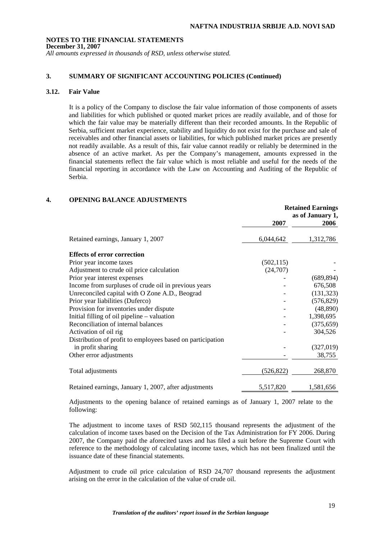**December 31, 2007** 

*All amounts expressed in thousands of RSD, unless otherwise stated.* 

# **3. SUMMARY OF SIGNIFICANT ACCOUNTING POLICIES (Continued)**

### **3.12. Fair Value**

It is a policy of the Company to disclose the fair value information of those components of assets and liabilities for which published or quoted market prices are readily available, and of those for which the fair value may be materially different than their recorded amounts. In the Republic of Serbia, sufficient market experience, stability and liquidity do not exist for the purchase and sale of receivables and other financial assets or liabilities, for which published market prices are presently not readily available. As a result of this, fair value cannot readily or reliably be determined in the absence of an active market. As per the Company's management, amounts expressed in the financial statements reflect the fair value which is most reliable and useful for the needs of the financial reporting in accordance with the Law on Accounting and Auditing of the Republic of Serbia.

# **4. OPENING BALANCE ADJUSTMENTS**

|                                                            | Retained Earnings<br>as of January 1, |            |
|------------------------------------------------------------|---------------------------------------|------------|
|                                                            | 2007                                  | 2006       |
| Retained earnings, January 1, 2007                         | 6,044,642                             | 1,312,786  |
| <b>Effects of error correction</b>                         |                                       |            |
| Prior year income taxes                                    | (502, 115)                            |            |
| Adjustment to crude oil price calculation                  | (24,707)                              |            |
| Prior year interest expenses                               |                                       | (689, 894) |
| Income from surpluses of crude oil in previous years       |                                       | 676,508    |
| Unreconciled capital with O Zone A.D., Beograd             |                                       | (131, 323) |
| Prior year liabilities (Duferco)                           |                                       | (576, 829) |
| Provision for inventories under dispute                    |                                       | (48, 890)  |
| Initial filling of oil pipeline – valuation                |                                       | 1,398,695  |
| Reconciliation of internal balances                        |                                       | (375, 659) |
| Activation of oil rig                                      |                                       | 304,526    |
| Distribution of profit to employees based on participation |                                       |            |
| in profit sharing                                          |                                       | (327,019)  |
| Other error adjustments                                    |                                       | 38,755     |
| Total adjustments                                          | (526, 822)                            | 268,870    |
| Retained earnings, January 1, 2007, after adjustments      | 5,517,820                             | 1,581,656  |

Adjustments to the opening balance of retained earnings as of January 1, 2007 relate to the following:

The adjustment to income taxes of RSD 502,115 thousand represents the adjustment of the calculation of income taxes based on the Decision of the Tax Administration for FY 2006. During 2007, the Company paid the aforecited taxes and has filed a suit before the Supreme Court with reference to the methodology of calculating income taxes, which has not been finalized until the issuance date of these financial statements.

Adjustment to crude oil price calculation of RSD 24,707 thousand represents the adjustment arising on the error in the calculation of the value of crude oil.

**Retained Earnings**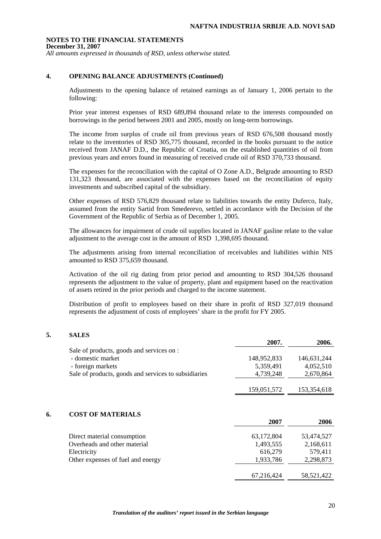**December 31, 2007** 

*All amounts expressed in thousands of RSD, unless otherwise stated.* 

### **4. OPENING BALANCE ADJUSTMENTS (Continued)**

Adjustments to the opening balance of retained earnings as of January 1, 2006 pertain to the following:

Prior year interest expenses of RSD 689,894 thousand relate to the interests compounded on borrowings in the period between 2001 and 2005, mostly on long-term borrowings.

The income from surplus of crude oil from previous years of RSD 676,508 thousand mostly relate to the inventories of RSD 305,775 thousand, recorded in the books pursuant to the notice received from JANAF D.D., the Republic of Croatia, on the established quantities of oil from previous years and errors found in measuring of received crude oil of RSD 370,733 thousand.

The expenses for the reconciliation with the capital of O Zone A.D., Belgrade amounting to RSD 131,323 thousand, are associated with the expenses based on the reconciliation of equity investments and subscribed capital of the subsidiary.

Other expenses of RSD 576,829 thousand relate to liabilities towards the entity Duferco, Italy, assumed from the entity Sartid from Smederevo, settled in accordance with the Decision of the Government of the Republic of Serbia as of December 1, 2005.

The allowances for impairment of crude oil supplies located in JANAF gasline relate to the value adjustment to the average cost in the amount of RSD 1,398,695 thousand.

The adjustments arising from internal reconciliation of receivables and liabilities within NIS amounted to RSD 375,659 thousand.

Activation of the oil rig dating from prior period and amounting to RSD 304,526 thousand represents the adjustment to the value of property, plant and equipment based on the reactivation of assets retired in the prior periods and charged to the income statement.

Distribution of profit to employees based on their share in profit of RSD 327,019 thousand represents the adjustment of costs of employees' share in the profit for FY 2005.

# **5. SALES**

|    |                                                      | 2007.       | 2006.       |
|----|------------------------------------------------------|-------------|-------------|
|    | Sale of products, goods and services on :            |             |             |
|    | - domestic market                                    | 148,952,833 | 146,631,244 |
|    | - foreign markets                                    | 5,359,491   | 4,052,510   |
|    | Sale of products, goods and services to subsidiaries | 4,739,248   | 2,670,864   |
|    |                                                      |             |             |
|    |                                                      | 159,051,572 | 153,354,618 |
|    |                                                      |             |             |
|    |                                                      |             |             |
| 6. | <b>COST OF MATERIALS</b>                             |             |             |
|    |                                                      | 2007        | 2006        |
|    |                                                      |             |             |

|                                   | -----      | svvv       |
|-----------------------------------|------------|------------|
| Direct material consumption       | 63,172,804 | 53,474,527 |
| Overheads and other material      | 1,493,555  | 2,168,611  |
| Electricity                       | 616,279    | 579.411    |
| Other expenses of fuel and energy | 1,933,786  | 2,298,873  |
|                                   | 67,216,424 | 58,521,422 |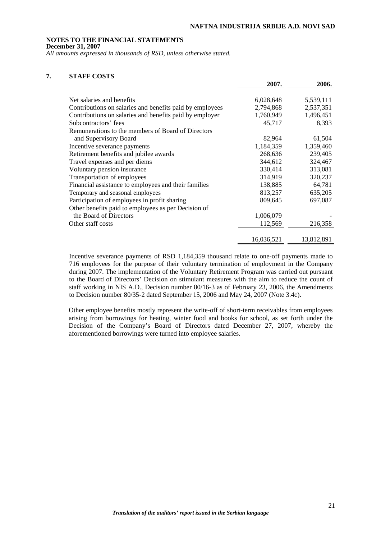**December 31, 2007** 

*All amounts expressed in thousands of RSD, unless otherwise stated.* 

# **7. STAFF COSTS**

|                                                          | 2007.      | 2006.      |
|----------------------------------------------------------|------------|------------|
|                                                          |            |            |
| Net salaries and benefits                                | 6,028,648  | 5,539,111  |
| Contributions on salaries and benefits paid by employees | 2,794,868  | 2,537,351  |
| Contributions on salaries and benefits paid by employer  | 1,760,949  | 1,496,451  |
| Subcontractors' fees                                     | 45,717     | 8,393      |
| Remunerations to the members of Board of Directors       |            |            |
| and Supervisory Board                                    | 82,964     | 61,504     |
| Incentive severance payments                             | 1,184,359  | 1,359,460  |
| Retirement benefits and jubilee awards                   | 268,636    | 239,405    |
| Travel expenses and per diems                            | 344,612    | 324,467    |
| Voluntary pension insurance                              | 330,414    | 313,081    |
| Transportation of employees                              | 314,919    | 320,237    |
| Financial assistance to employees and their families     | 138,885    | 64,781     |
| Temporary and seasonal employees                         | 813,257    | 635,205    |
| Participation of employees in profit sharing             | 809,645    | 697,087    |
| Other benefits paid to employees as per Decision of      |            |            |
| the Board of Directors                                   | 1,006,079  |            |
| Other staff costs                                        | 112,569    | 216,358    |
|                                                          | 16,036,521 | 13,812,891 |

Incentive severance payments of RSD 1,184,359 thousand relate to one-off payments made to 716 employees for the purpose of their voluntary termination of employment in the Company during 2007. The implementation of the Voluntary Retirement Program was carried out pursuant to the Board of Directors' Decision on stimulant measures with the aim to reduce the count of staff working in NIS A.D., Decision number 80/16-3 as of February 23, 2006, the Amendments to Decision number 80/35-2 dated September 15, 2006 and May 24, 2007 (Note 3.4c).

Other employee benefits mostly represent the write-off of short-term receivables from employees arising from borrowings for heating, winter food and books for school, as set forth under the Decision of the Company's Board of Directors dated December 27, 2007, whereby the aforementioned borrowings were turned into employee salaries.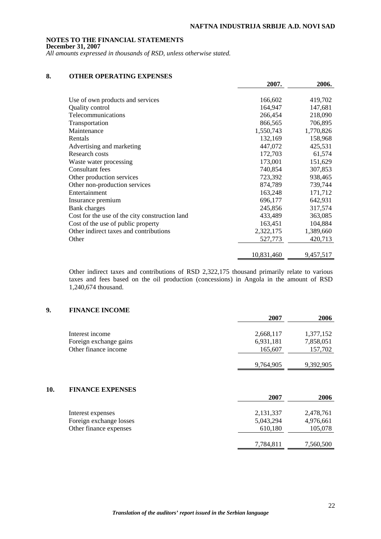**December 31, 2007** 

*All amounts expressed in thousands of RSD, unless otherwise stated.* 

# **8. OTHER OPERATING EXPENSES**

|                                                | 2007.      | 2006.     |
|------------------------------------------------|------------|-----------|
|                                                |            |           |
| Use of own products and services               | 166,602    | 419,702   |
| Quality control                                | 164,947    | 147,681   |
| Telecommunications                             | 266,454    | 218,090   |
| Transportation                                 | 866,565    | 706,895   |
| Maintenance                                    | 1,550,743  | 1,770,826 |
| Rentals                                        | 132,169    | 158,968   |
| Advertising and marketing                      | 447,072    | 425,531   |
| Research costs                                 | 172,703    | 61,574    |
| Waste water processing                         | 173,001    | 151,629   |
| <b>Consultant fees</b>                         | 740,854    | 307,853   |
| Other production services                      | 723,392    | 938,465   |
| Other non-production services                  | 874,789    | 739,744   |
| Entertainment                                  | 163,248    | 171,712   |
| Insurance premium                              | 696,177    | 642,931   |
| <b>Bank</b> charges                            | 245,856    | 317,574   |
| Cost for the use of the city construction land | 433,489    | 363,085   |
| Cost of the use of public property             | 163,451    | 104,884   |
| Other indirect taxes and contributions         | 2,322,175  | 1,389,660 |
| Other                                          | 527,773    | 420,713   |
|                                                |            |           |
|                                                | 10,831,460 | 9,457,517 |

Other indirect taxes and contributions of RSD 2,322,175 thousand primarily relate to various taxes and fees based on the oil production (concessions) in Angola in the amount of RSD 1,240,674 thousand.

# **9. FINANCE INCOME**

|     |                         | 2007      | 2006      |
|-----|-------------------------|-----------|-----------|
|     | Interest income         | 2,668,117 | 1,377,152 |
|     | Foreign exchange gains  | 6,931,181 | 7,858,051 |
|     | Other finance income    | 165,607   | 157,702   |
|     |                         | 9,764,905 | 9,392,905 |
|     |                         |           |           |
| 10. | <b>FINANCE EXPENSES</b> |           |           |
|     |                         | 2007      | 2006      |
|     | Interest expenses       | 2,131,337 | 2,478,761 |
|     | Foreign exchange losses | 5,043,294 | 4,976,661 |
|     | Other finance expenses  | 610,180   | 105,078   |
|     |                         |           |           |
|     |                         | 7,784,811 | 7,560,500 |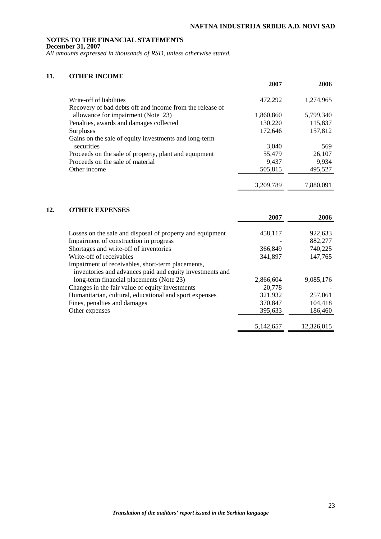**December 31, 2007** 

*All amounts expressed in thousands of RSD, unless otherwise stated.* 

# **11. OTHER INCOME**

|                                                          | 2007      | 2006      |
|----------------------------------------------------------|-----------|-----------|
| Write-off of liabilities                                 | 472,292   | 1,274,965 |
| Recovery of bad debts off and income from the release of |           |           |
| allowance for impairment (Note 23)                       | 1,860,860 | 5,799,340 |
| Penalties, awards and damages collected                  | 130,220   | 115,837   |
| <b>Surpluses</b>                                         | 172,646   | 157,812   |
| Gains on the sale of equity investments and long-term    |           |           |
| securities                                               | 3.040     | 569       |
| Proceeds on the sale of property, plant and equipment    | 55,479    | 26,107    |
| Proceeds on the sale of material                         | 9.437     | 9.934     |
| Other income                                             | 505,815   | 495,527   |
|                                                          | 3.209.789 | 7.880.091 |

# **12. OTHER EXPENSES**

|                                                           | 2007      | 2006       |
|-----------------------------------------------------------|-----------|------------|
| Losses on the sale and disposal of property and equipment | 458,117   | 922,633    |
| Impairment of construction in progress                    |           | 882,277    |
| Shortages and write-off of inventories                    | 366,849   | 740,225    |
| Write-off of receivables                                  | 341,897   | 147,765    |
| Impairment of receivables, short-term placements,         |           |            |
| inventories and advances paid and equity investments and  |           |            |
| long-term financial placements (Note 23)                  | 2,866,604 | 9,085,176  |
| Changes in the fair value of equity investments           | 20,778    |            |
| Humanitarian, cultural, educational and sport expenses    | 321,932   | 257,061    |
| Fines, penalties and damages                              | 370.847   | 104.418    |
| Other expenses                                            | 395,633   | 186,460    |
|                                                           |           |            |
|                                                           | 5,142,657 | 12,326,015 |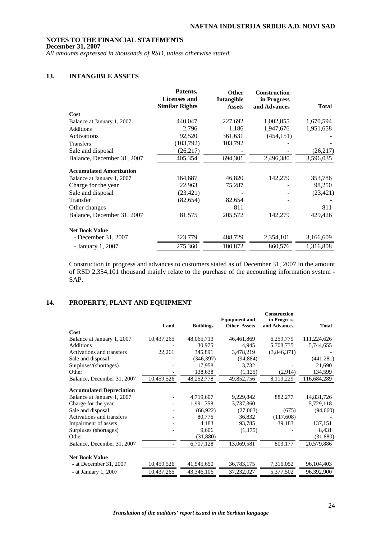**December 31, 2007** 

*All amounts expressed in thousands of RSD, unless otherwise stated.* 

# **13. INTANGIBLE ASSETS**

|                                 | Patents,              | <b>Other</b>  | <b>Construction</b> |              |
|---------------------------------|-----------------------|---------------|---------------------|--------------|
|                                 | <b>Licenses and</b>   | Intangible    | in Progress         |              |
|                                 | <b>Similar Rights</b> | <b>Assets</b> | and Advances        | <b>Total</b> |
| Cost                            |                       |               |                     |              |
| Balance at January 1, 2007      | 440,047               | 227,692       | 1,002,855           | 1,670,594    |
| <b>Additions</b>                | 2,796                 | 1,186         | 1,947,676           | 1,951,658    |
| Activations                     | 92,520                | 361,631       | (454, 151)          |              |
| <b>Transfers</b>                | (103, 792)            | 103,792       |                     |              |
| Sale and disposal               | (26,217)              |               |                     | (26,217)     |
| Balance, December 31, 2007      | 405,354               | 694.301       | 2,496,380           | 3,596,035    |
| <b>Accumulated Amortization</b> |                       |               |                     |              |
| Balance at January 1, 2007      | 164,687               | 46,820        | 142,279             | 353,786      |
| Charge for the year             | 22,963                | 75,287        |                     | 98,250       |
| Sale and disposal               | (23, 421)             |               |                     | (23, 421)    |
| Transfer                        | (82, 654)             | 82,654        |                     |              |
| Other changes                   |                       | 811           |                     | 811          |
| Balance, December 31, 2007      | 81,575                | 205,572       | 142,279             | 429,426      |
| <b>Net Book Value</b>           |                       |               |                     |              |
| - December 31, 2007             | 323,779               | 488,729       | 2,354,101           | 3,166,609    |
| - January 1, 2007               | 275,360               | 180,872       | 860,576             | 1,316,808    |

Construction in progress and advances to customers stated as of December 31, 2007 in the amount of RSD 2,354,101 thousand mainly relate to the purchase of the accounting information system - SAP.

# **14. PROPERTY, PLANT AND EQUIPMENT**

|                                 |            |                  | <b>Equipment and</b> | <b>Construction</b><br>in Progress |              |
|---------------------------------|------------|------------------|----------------------|------------------------------------|--------------|
|                                 | Land       | <b>Buildings</b> | <b>Other Assets</b>  | and Advances                       | <b>Total</b> |
| Cost                            |            |                  |                      |                                    |              |
| Balance at January 1, 2007      | 10,437,265 | 48,065,713       | 46,461,869           | 6,259,779                          | 111,224,626  |
| <b>Additions</b>                |            | 30,975           | 4,945                | 5,708,735                          | 5,744,655    |
| Activations and transfers       | 22,261     | 345,891          | 3,478,219            | (3,846,371)                        |              |
| Sale and disposal               |            | (346, 397)       | (94, 884)            |                                    | (441, 281)   |
| Surpluses/(shortages)           |            | 17,958           | 3,732                |                                    | 21,690       |
| Other                           |            | 138,638          | (1, 125)             | (2,914)                            | 134,599      |
| Balance, December 31, 2007      | 10,459,526 | 48,252,778       | 49,852,756           | 8,119,229                          | 116,684,289  |
| <b>Accumulated Depreciation</b> |            |                  |                      |                                    |              |
| Balance at January 1, 2007      |            | 4,719,607        | 9,229,842            | 882,277                            | 14,831,726   |
| Charge for the year             |            | 1,991,758        | 3,737,360            |                                    | 5,729,118    |
| Sale and disposal               |            | (66, 922)        | (27,063)             | (675)                              | (94,660)     |
| Activations and transfers       |            | 80,776           | 36,832               | (117,608)                          |              |
| Impairment of assets            |            | 4,183            | 93,785               | 39,183                             | 137,151      |
| Surpluses (shortages)           |            | 9,606            | (1,175)              |                                    | 8,431        |
| Other                           |            | (31,880)         |                      |                                    | (31, 880)    |
| Balance, December 31, 2007      |            | 6,707,128        | 13,069,581           | 803,177                            | 20,579,886   |
| <b>Net Book Value</b>           |            |                  |                      |                                    |              |
| - at December 31, 2007          | 10,459,526 | 41,545,650       | 36,783,175           | 7,316,052                          | 96,104,403   |
| - at January 1, 2007            | 10,437,265 | 43,346,106       | 37,232,027           | 5,377,502                          | 96,392,900   |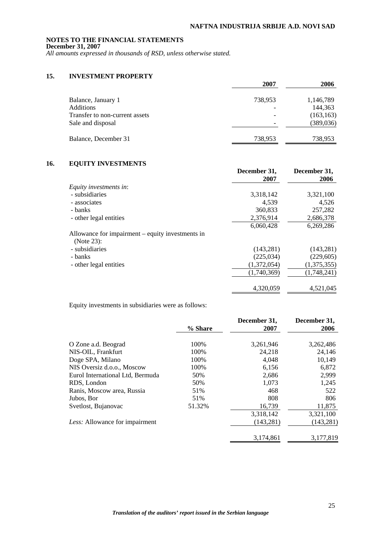**December 31, 2007** 

*All amounts expressed in thousands of RSD, unless otherwise stated.* 

# **15. INVESTMENT PROPERTY**

|                                | 2007    | 2006       |
|--------------------------------|---------|------------|
| Balance, January 1             | 738,953 | 1,146,789  |
| <b>Additions</b>               |         | 144,363    |
| Transfer to non-current assets |         | (163, 163) |
| Sale and disposal              |         | (389, 036) |
| Balance, December 31           | 738,953 | 738,953    |

# **16. EQUITY INVESTMENTS**

| EQUITT INVESTMENTS                               | December 31, | December 31, |
|--------------------------------------------------|--------------|--------------|
|                                                  | 2007         | 2006         |
| Equity investments in:                           |              |              |
| - subsidiaries                                   | 3,318,142    | 3,321,100    |
| - associates                                     | 4.539        | 4,526        |
| - banks                                          | 360,833      | 257,282      |
| - other legal entities                           | 2,376,914    | 2,686,378    |
|                                                  | 6,060,428    | 6,269,286    |
| Allowance for impairment – equity investments in |              |              |
| (Note 23):                                       |              |              |
| - subsidiaries                                   | (143, 281)   | (143, 281)   |
| - banks                                          | (225, 034)   | (229, 605)   |
| - other legal entities                           | (1,372,054)  | (1,375,355)  |
|                                                  | (1,740,369)  | (1,748,241)  |
|                                                  | 4.320.059    | 4,521,045    |

Equity investments in subsidiaries were as follows:

|                                  |         | December 31, | December 31, |
|----------------------------------|---------|--------------|--------------|
|                                  | % Share | 2007         | 2006         |
| O Zone a.d. Beograd              | 100%    | 3,261,946    | 3,262,486    |
| NIS-OIL, Frankfurt               | 100%    | 24,218       | 24,146       |
| Doge SPA, Milano                 | 100%    | 4,048        | 10,149       |
| NIS Oversiz d.o.o., Moscow       | 100%    | 6,156        | 6,872        |
| Eurol International Ltd, Bermuda | 50%     | 2,686        | 2,999        |
| RDS, London                      | 50%     | 1,073        | 1,245        |
| Ranis, Moscow area, Russia       | 51%     | 468          | 522          |
| Jubos, Bor                       | 51%     | 808          | 806          |
| Svetlost, Bujanovac              | 51.32%  | 16,739       | 11,875       |
|                                  |         | 3,318,142    | 3,321,100    |
| Less: Allowance for impairment   |         | (143, 281)   | (143, 281)   |
|                                  |         | 3,174,861    | 3,177,819    |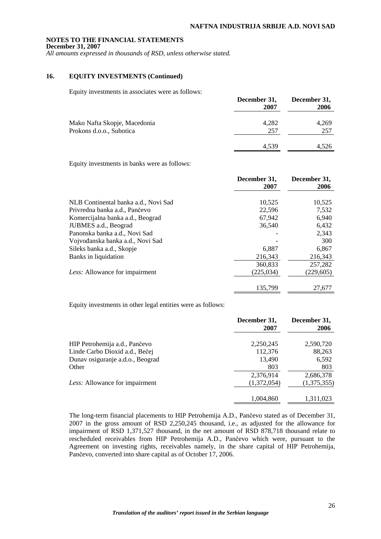**December 31, 2007** 

*All amounts expressed in thousands of RSD, unless otherwise stated.* 

# **16. EQUITY INVESTMENTS (Continued)**

Equity investments in associates were as follows:

|                                                          | December 31,<br>2007 | December 31,<br>2006 |
|----------------------------------------------------------|----------------------|----------------------|
| Mako Nafta Skopje, Macedonia<br>Prokons d.o.o., Subotica | 4.282<br>257         | 4,269<br>257         |
|                                                          | 4,539                | 4,526                |

Equity investments in banks were as follows:

|                                      | December 31,<br>2007 | December 31,<br>2006 |
|--------------------------------------|----------------------|----------------------|
| NLB Continental banka a.d., Novi Sad | 10,525               | 10,525               |
| Privredna banka a.d., Pančevo        | 22,596               | 7,532                |
| Komercijalna banka a.d., Beograd     | 67,942               | 6,940                |
| JUBMES a.d., Beograd                 | 36,540               | 6,432                |
| Panonska banka a.d., Novi Sad        |                      | 2,343                |
| Vojvođanska banka a.d., Novi Sad     |                      | 300                  |
| Sileks banka a.d., Skopje            | 6,887                | 6,867                |
| Banks in liquidation                 | 216,343              | 216,343              |
|                                      | 360,833              | 257,282              |
| Less: Allowance for impairment       | (225.034)            | (229, 605)           |
|                                      | 135,799              | 27,677               |

Equity investments in other legal entities were as follows:

|                                  | December 31,<br>2007 | December 31,<br>2006 |
|----------------------------------|----------------------|----------------------|
| HIP Petrohemija a.d., Pančevo    | 2,250,245            | 2,590,720            |
| Linde Carbo Dioxid a.d., Bečej   | 112,376              | 88,263               |
| Dunav osiguranje a.d.o., Beograd | 13,490               | 6,592                |
| Other                            | 803                  | 803                  |
|                                  | 2,376,914            | 2,686,378            |
| Less: Allowance for impairment   | (1,372,054)          | (1,375,355)          |
|                                  | 1,004,860            | 1,311,023            |

The long-term financial placements to HIP Petrohemija A.D., Pančevo stated as of December 31, 2007 in the gross amount of RSD 2,250,245 thousand, i.e., as adjusted for the allowance for impairment of RSD 1,371,527 thousand, in the net amount of RSD 878,718 thousand relate to rescheduled receivables from HIP Petrohemija A.D., Pančevo which were, pursuant to the Agreement on investing rights, receivables namely, in the share capital of HIP Petrohemija, Pančevo, converted into share capital as of October 17, 2006.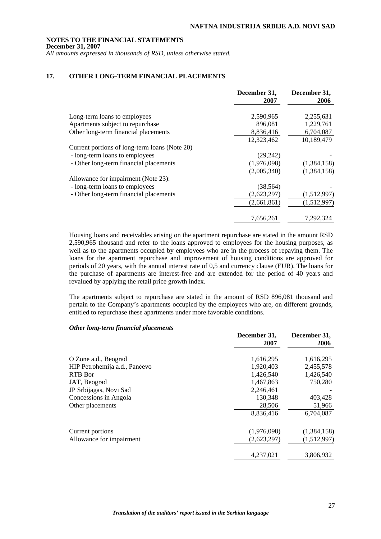**December 31, 2007** 

*All amounts expressed in thousands of RSD, unless otherwise stated.* 

# **17. OTHER LONG-TERM FINANCIAL PLACEMENTS**

|                                               | December 31,<br>2007 | December 31,<br>2006 |
|-----------------------------------------------|----------------------|----------------------|
|                                               |                      |                      |
| Long-term loans to employees                  | 2,590,965            | 2,255,631            |
| Apartments subject to repurchase              | 896,081              | 1,229,761            |
| Other long-term financial placements          | 8,836,416            | 6,704,087            |
|                                               | 12,323,462           | 10,189,479           |
| Current portions of long-term loans (Note 20) |                      |                      |
| - long-term loans to employees                | (29, 242)            |                      |
| - Other long-term financial placements        | (1,976,098)          | (1,384,158)          |
|                                               | (2,005,340)          | (1,384,158)          |
| Allowance for impairment (Note 23):           |                      |                      |
| - long-term loans to employees                | (38, 564)            |                      |
| - Other long-term financial placements        | (2,623,297)          | (1,512,997)          |
|                                               | (2,661,861)          | (1,512,997)          |
|                                               | 7,656,261            | 7,292,324            |

Housing loans and receivables arising on the apartment repurchase are stated in the amount RSD 2,590,965 thousand and refer to the loans approved to employees for the housing purposes, as well as to the apartments occupied by employees who are in the process of repaying them. The loans for the apartment repurchase and improvement of housing conditions are approved for periods of 20 years, with the annual interest rate of 0,5 and currency clause (EUR). The loans for the purchase of apartments are interest-free and are extended for the period of 40 years and revalued by applying the retail price growth index.

The apartments subject to repurchase are stated in the amount of RSD 896,081 thousand and pertain to the Company's apartments occupied by the employees who are, on different grounds, entitled to repurchase these apartments under more favorable conditions.

### *Other long-term financial placements*

|                               | December 31, | December 31, |
|-------------------------------|--------------|--------------|
|                               | 2007         | 2006         |
| O Zone a.d., Beograd          | 1,616,295    | 1,616,295    |
| HIP Petrohemija a.d., Pančevo | 1,920,403    | 2,455,578    |
| <b>RTB</b> Bor                | 1,426,540    | 1,426,540    |
| JAT, Beograd                  | 1,467,863    | 750,280      |
| JP Srbijagas, Novi Sad        | 2,246,461    |              |
| Concessions in Angola         | 130,348      | 403,428      |
| Other placements              | 28,506       | 51,966       |
|                               | 8,836,416    | 6,704,087    |
| Current portions              | (1,976,098)  | (1,384,158)  |
| Allowance for impairment      | (2,623,297)  | (1,512,997)  |
|                               | 4,237,021    | 3,806,932    |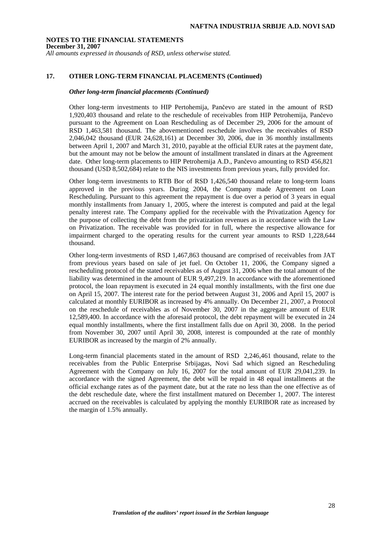# **NOTES TO THE FINANCIAL STATEMENTS December 31, 2007**

*All amounts expressed in thousands of RSD, unless otherwise stated.* 

# **17. OTHER LONG-TERM FINANCIAL PLACEMENTS (Continued)**

### *Other long-term financial placements (Continued)*

Other long-term investments to HIP Pertohemija, Pančevo are stated in the amount of RSD 1,920,403 thousand and relate to the reschedule of receivables from HIP Petrohemija, Pančevo pursuant to the Agreement on Loan Rescheduling as of December 29, 2006 for the amount of RSD 1,463,581 thousand. The abovementioned reschedule involves the receivables of RSD 2,046,042 thousand (EUR 24,628,161) at December 30, 2006, due in 36 monthly installments between April 1, 2007 and March 31, 2010, payable at the official EUR rates at the payment date, but the amount may not be below the amount of installment translated in dinars at the Agreement date. Other long-term placements to HIP Petrohemija A.D., Pančevo amounting to RSD 456,821 thousand (USD 8,502,684) relate to the NIS investments from previous years, fully provided for.

Other long-term investments to RTB Bor of RSD 1,426,540 thousand relate to long-term loans approved in the previous years. During 2004, the Company made Agreement on Loan Rescheduling. Pursuant to this agreement the repayment is due over a period of 3 years in equal monthly installments from January 1, 2005, where the interest is computed and paid at the legal penalty interest rate. The Company applied for the receivable with the Privatization Agency for the purpose of collecting the debt from the privatization revenues as in accordance with the Law on Privatization. The receivable was provided for in full, where the respective allowance for impairment charged to the operating results for the current year amounts to RSD 1,228,644 thousand.

Other long-term investments of RSD 1,467,863 thousand are comprised of receivables from JAT from previous years based on sale of jet fuel. On October 11, 2006, the Company signed a rescheduling protocol of the stated receivables as of August 31, 2006 when the total amount of the liability was determined in the amount of EUR 9,497,219. In accordance with the aforementioned protocol, the loan repayment is executed in 24 equal monthly installments, with the first one due on April 15, 2007. The interest rate for the period between August 31, 2006 and April 15, 2007 is calculated at monthly EURIBOR as increased by 4% annually. On December 21, 2007, a Protocol on the reschedule of receivables as of November 30, 2007 in the aggregate amount of EUR 12,589,400. In accordance with the aforesaid protocol, the debt repayment will be executed in 24 equal monthly installments, where the first installment falls due on April 30, 2008. In the period from November 30, 2007 until April 30, 2008, interest is compounded at the rate of monthly EURIBOR as increased by the margin of 2% annually.

Long-term financial placements stated in the amount of RSD 2,246,461 thousand, relate to the receivables from the Public Enterprise Srbijagas, Novi Sad which signed an Rescheduling Agreement with the Company on July 16, 2007 for the total amount of EUR 29,041,239. In accordance with the signed Agreement, the debt will be repaid in 48 equal installments at the official exchange rates as of the payment date, but at the rate no less than the one effective as of the debt reschedule date, where the first installment matured on December 1, 2007. The interest accrued on the receivables is calculated by applying the monthly EURIBOR rate as increased by the margin of 1.5% annually.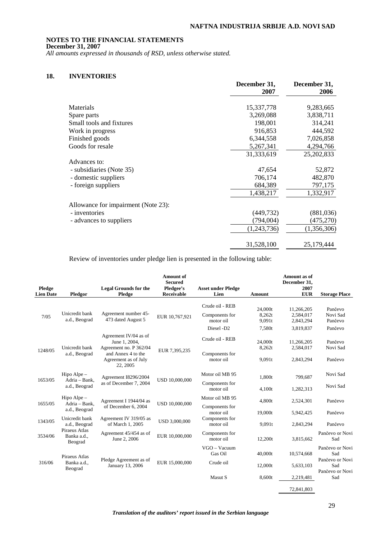**December 31, 2007** 

*All amounts expressed in thousands of RSD, unless otherwise stated.* 

# **18. INVENTORIES**

|                                     | December 31,<br>2007 | December 31,<br>2006 |
|-------------------------------------|----------------------|----------------------|
| Materials                           | 15,337,778           | 9,283,665            |
| Spare parts                         | 3,269,088            | 3,838,711            |
| Small tools and fixtures            | 198,001              | 314,241              |
| Work in progress                    | 916,853              | 444,592              |
| Finished goods                      | 6,344,558            | 7,026,858            |
| Goods for resale                    | 5,267,341            | 4,294,766            |
|                                     | 31, 333, 619         | 25, 202, 833         |
| Advances to:                        |                      |                      |
| - subsidiaries (Note 35)            | 47,654               | 52,872               |
| - domestic suppliers                | 706,174              | 482,870              |
| - foreign suppliers                 | 684,389              | 797,175              |
|                                     | 1,438,217            | 1,332,917            |
| Allowance for impairment (Note 23): |                      |                      |
| - inventories                       | (449,732)            | (881,036)            |
| - advances to suppliers             | (794, 004)           | (475,270)            |
|                                     | (1,243,736)          | (1,356,306)          |
|                                     | 31,528,100           | 25,179,444           |

Review of inventories under pledge lien is presented in the following table:

| Pledge<br><b>Lien Date</b> | Pledgor                                         | <b>Legal Grounds for the</b><br>Pledge                                                                                     | <b>Amount of</b><br><b>Secured</b><br>Pledgee's<br><b>Receivable</b> | <b>Asset under Pledge</b><br>Lien                                        | <b>Amount</b>                         | Amount as of<br>December 31,<br>2007<br><b>EUR</b> | <b>Storage Place</b>                                                       |
|----------------------------|-------------------------------------------------|----------------------------------------------------------------------------------------------------------------------------|----------------------------------------------------------------------|--------------------------------------------------------------------------|---------------------------------------|----------------------------------------------------|----------------------------------------------------------------------------|
| 7/05                       | Unicredit bank<br>a.d., Beograd                 | Agreement number 45-<br>473 dated August 5                                                                                 | EUR 10,767,921                                                       | Crude oil - REB<br>Components for<br>motor oil<br>Diesel -D <sub>2</sub> | 24,000t<br>8,262t<br>9.091t<br>7,580t | 11,266,205<br>2,584,017<br>2,843,294<br>3,819,837  | Pančevo<br>Novi Sad<br>Pančevo<br>Pančevo                                  |
| 1248/05                    | Unicredit bank<br>a.d., Beograd                 | Agreement IV/04 as of<br>June 1, 2004,<br>Agreement no. P 362/04<br>and Annex 4 to the<br>Agreement as of July<br>22, 2005 | EUR 7,395,235                                                        | Crude oil - REB<br>Components for<br>motor oil                           | 24,000t<br>8,262t<br>9.091t           | 11,266,205<br>2,584,017<br>2,843,294               | Pančevo<br>Novi Sad<br>Pančevo                                             |
| 1653/05                    | Hipo Alpe $-$<br>Adria - Bank,<br>a.d., Beograd | Agreement I8296/2004<br>as of December 7, 2004                                                                             | USD 10,000,000                                                       | Motor oil MB 95<br>Components for<br>motor oil                           | 1,800t<br>4,100t                      | 799.687<br>1,282,313                               | Novi Sad<br>Novi Sad                                                       |
| 1655/05                    | Hipo Alpe -<br>Adria - Bank.<br>a.d., Beograd   | Agreement I 1944/04 as<br>of December 6, 2004                                                                              | USD 10,000,000                                                       | Motor oil MB 95<br>Components for                                        | 4,800t                                | 2,524,301                                          | Pančevo                                                                    |
| 1343/05                    | Unicredit bank<br>a.d., Beograd                 | Agreement IV 319/05 as<br>of March 1, 2005                                                                                 | USD 3,000,000                                                        | motor oil<br>Components for<br>motor oil                                 | 19,000t<br>9,091t                     | 5,942,425<br>2,843,294                             | Pančevo<br>Pančevo                                                         |
| 3534/06                    | Piraeus Atlas<br>Banka a.d.,<br>Beograd         | Agreement 45/454 as of<br>June 2, 2006                                                                                     | EUR 10,000,000                                                       | Components for<br>motor oil                                              | 12,200t                               | 3,815,662                                          | Pančevo or Novi<br>Sad                                                     |
| 316/06                     | Piraeus Atlas<br>Banka a.d.,<br>Beograd         | Pledge Agreement as of<br>January 13, 2006                                                                                 | EUR 15,000,000                                                       | VGO - Vacuum<br>Gas Oil<br>Crude oil<br>Masut S                          | 40,000t<br>12,000t<br>8,600t          | 10,574,668<br>5,633,103<br>2,219,481               | Pančevo or Novi<br>Sad<br>Pančevo or Novi<br>Sad<br>Pančevo or Novi<br>Sad |
|                            |                                                 |                                                                                                                            |                                                                      |                                                                          |                                       |                                                    |                                                                            |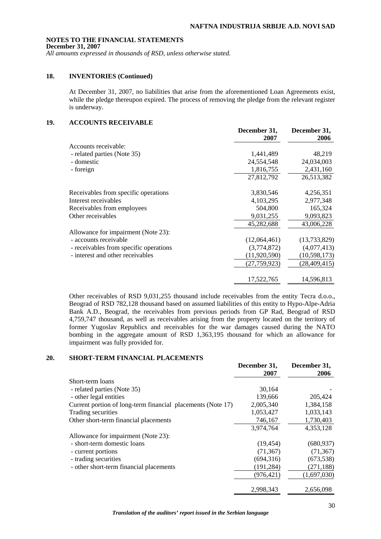**December 31, 2007** 

*All amounts expressed in thousands of RSD, unless otherwise stated.* 

# **18. INVENTORIES (Continued)**

At December 31, 2007, no liabilities that arise from the aforementioned Loan Agreements exist, while the pledge thereupon expired. The process of removing the pledge from the relevant register is underway.

# **19. ACCOUNTS RECEIVABLE**

|                                        | December 31,<br>2007 | December 31,<br>2006 |
|----------------------------------------|----------------------|----------------------|
| Accounts receivable:                   |                      |                      |
| - related parties (Note 35)            | 1,441,489            | 48,219               |
| - domestic                             | 24,554,548           | 24,034,003           |
| - foreign                              | 1,816,755            | 2,431,160            |
|                                        | 27,812,792           | 26,513,382           |
| Receivables from specific operations   | 3,830,546            | 4,256,351            |
| Interest receivables                   | 4, 103, 295          | 2,977,348            |
| Receivables from employees             | 504,800              | 165,324              |
| Other receivables                      | 9,031,255            | 9,093,823            |
|                                        | 45,282,688           | 43,006,228           |
| Allowance for impairment (Note 23):    |                      |                      |
| - accounts receivable                  | (12,064,461)         | (13, 733, 829)       |
| - receivables from specific operations | (3,774,872)          | (4,077,413)          |
| - interest and other receivables       | (11,920,590)         | (10, 598, 173)       |
|                                        | (27,759,923)         | (28, 409, 415)       |
|                                        | 17,522,765           | 14,596,813           |

Other receivables of RSD 9,031,255 thousand include receivables from the entity Tecra d.o.o., Beograd of RSD 782,128 thousand based on assumed liabilities of this entity to Hypo-Alpe-Adria Bank A.D., Beograd, the receivables from previous periods from GP Rad, Beograd of RSD 4,759,747 thousand, as well as receivables arising from the property located on the territory of former Yugoslav Republics and receivables for the war damages caused during the NATO bombing in the aggregate amount of RSD 1,363,195 thousand for which an allowance for impairment was fully provided for.

# **20. SHORT-TERM FINANCIAL PLACEMENTS**

|                                                             | December 31,<br>2007 | December 31,<br>2006 |
|-------------------------------------------------------------|----------------------|----------------------|
| Short-term loans                                            |                      |                      |
| - related parties (Note 35)                                 | 30,164               |                      |
| - other legal entities                                      | 139,666              | 205,424              |
| Current portion of long-term financial placements (Note 17) | 2,005,340            | 1,384,158            |
| Trading securities                                          | 1,053,427            | 1,033,143            |
| Other short-term financial placements                       | 746,167              | 1,730,403            |
|                                                             | 3,974,764            | 4,353,128            |
| Allowance for impairment (Note 23):                         |                      |                      |
| - short-term domestic loans                                 | (19, 454)            | (680, 937)           |
| - current portions                                          | (71, 367)            | (71, 367)            |
| - trading securities                                        | (694,316)            | (673, 538)           |
| - other short-term financial placements                     | (191, 284)           | (271, 188)           |
|                                                             | (976, 421)           | (1,697,030)          |
|                                                             | 2,998,343            | 2,656,098            |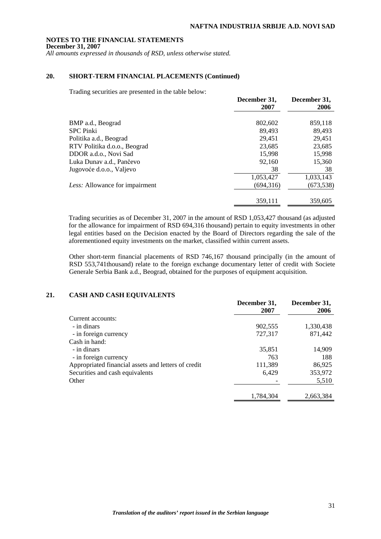**December 31, 2007** 

*All amounts expressed in thousands of RSD, unless otherwise stated.* 

# **20. SHORT-TERM FINANCIAL PLACEMENTS (Continued)**

Trading securities are presented in the table below:

|                                | December 31,<br>2007 | December 31,<br>2006 |
|--------------------------------|----------------------|----------------------|
| BMP a.d., Beograd              | 802,602              | 859,118              |
| <b>SPC</b> Pinki               | 89.493               | 89,493               |
| Politika a.d., Beograd         | 29,451               | 29,451               |
| RTV Politika d.o.o., Beograd   | 23,685               | 23,685               |
| DDOR a.d.o., Novi Sad          | 15,998               | 15,998               |
| Luka Dunav a.d., Pančevo       | 92.160               | 15,360               |
| Jugovoće d.o.o., Valjevo       | 38                   | 38                   |
|                                | 1,053,427            | 1,033,143            |
| Less: Allowance for impairment | (694,316)            | (673, 538)           |
|                                | 359.111              | 359,605              |

Trading securities as of December 31, 2007 in the amount of RSD 1,053,427 thousand (as adjusted for the allowance for impairment of RSD 694,316 thousand) pertain to equity investments in other legal entities based on the Decision enacted by the Board of Directors regarding the sale of the aforementioned equity investments on the market, classified within current assets.

Other short-term financial placements of RSD 746,167 thousand principally (in the amount of RSD 553,741thousand) relate to the foreign exchange documentary letter of credit with Societe Generale Serbia Bank a.d., Beograd, obtained for the purposes of equipment acquisition.

# **21. CASH AND CASH EQUIVALENTS**

|                                                     | December 31,<br>2007 | December 31,<br>2006 |
|-----------------------------------------------------|----------------------|----------------------|
| Current accounts:                                   |                      |                      |
| - in dinars                                         | 902,555              | 1,330,438            |
| - in foreign currency                               | 727,317              | 871,442              |
| Cash in hand:                                       |                      |                      |
| - in dinars                                         | 35,851               | 14,909               |
| - in foreign currency                               | 763                  | 188                  |
| Appropriated financial assets and letters of credit | 111,389              | 86,925               |
| Securities and cash equivalents                     | 6,429                | 353,972              |
| Other                                               |                      | 5,510                |
|                                                     | 1,784,304            | 2,663,384            |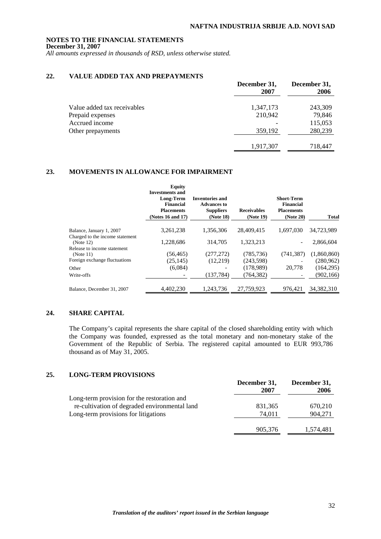**December 31, 2007** 

*All amounts expressed in thousands of RSD, unless otherwise stated.* 

# **22. VALUE ADDED TAX AND PREPAYMENTS**

|                             | December 31,<br>2007 | December 31,<br>2006 |
|-----------------------------|----------------------|----------------------|
| Value added tax receivables | 1,347,173            | 243,309              |
| Prepaid expenses            | 210,942              | 79,846               |
| Accrued income              |                      | 115,053              |
| Other prepayments           | 359,192              | 280,239              |
|                             |                      |                      |
|                             | 1,917,307            | 718.447              |

# **23. MOVEMENTS IN ALLOWANCE FOR IMPAIRMENT**

|                                                                             | <b>Equity</b><br><b>Investments and</b><br>Long-Term<br><b>Financial</b><br><b>Placements</b><br>(Notes $16$ and $17$ ) | <b>Inventories and</b><br><b>Advances to</b><br><b>Suppliers</b><br>(Note 18) | <b>Receivables</b><br>(Note 19) | <b>Short-Term</b><br><b>Financial</b><br><b>Placements</b><br>(Note 20) | Total        |
|-----------------------------------------------------------------------------|-------------------------------------------------------------------------------------------------------------------------|-------------------------------------------------------------------------------|---------------------------------|-------------------------------------------------------------------------|--------------|
| Balance, January 1, 2007                                                    | 3,261,238                                                                                                               | 1,356,306                                                                     | 28,409,415                      | 1.697.030                                                               | 34,723,989   |
| Charged to the income statement<br>(Note 12)<br>Release to income statement | 1,228,686                                                                                                               | 314.705                                                                       | 1,323,213                       | -                                                                       | 2,866,604    |
| (Note 11)                                                                   | (56, 465)                                                                                                               | (277, 272)                                                                    | (785, 736)                      | (741, 387)                                                              | (1,860,860)  |
| Foreign exchange fluctuations                                               | (25, 145)                                                                                                               | (12,219)                                                                      | (243, 598)                      |                                                                         | (280, 962)   |
| Other                                                                       | (6,084)                                                                                                                 |                                                                               | (178,989)                       | 20,778                                                                  | (164, 295)   |
| Write-offs                                                                  |                                                                                                                         | (137, 784)                                                                    | (764, 382)                      | $\overline{\phantom{a}}$                                                | (902, 166)   |
| Balance, December 31, 2007                                                  | 4,402,230                                                                                                               | 1,243,736                                                                     | 27,759,923                      | 976,421                                                                 | 34, 382, 310 |

# **24. SHARE CAPITAL**

The Company's capital represents the share capital of the closed shareholding entity with which the Company was founded, expressed as the total monetary and non-monetary stake of the Government of the Republic of Serbia. The registered capital amounted to EUR 993,786 thousand as of May 31, 2005.

# **25. LONG-TERM PROVISIONS**

|                                               | December 31,<br>2007 | December 31,<br>2006 |
|-----------------------------------------------|----------------------|----------------------|
| Long-term provision for the restoration and   |                      |                      |
| re-cultivation of degraded environmental land | 831, 365             | 670,210              |
| Long-term provisions for litigations          | 74,011               | 904,271              |
|                                               |                      |                      |
|                                               | 905,376              | 1,574,481            |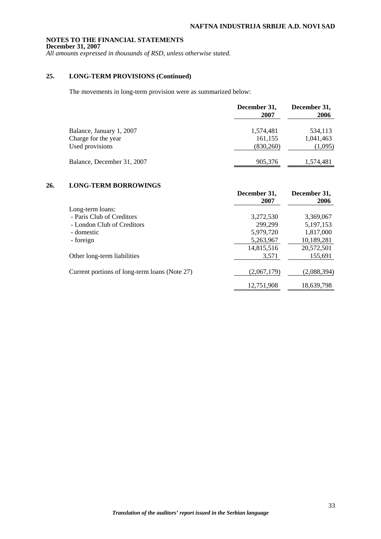**December 31, 2007** 

*All amounts expressed in thousands of RSD, unless otherwise stated.* 

# **25. LONG-TERM PROVISIONS (Continued)**

The movements in long-term provision were as summarized below:

|                            | December 31,<br>2007 | December 31,<br>2006 |
|----------------------------|----------------------|----------------------|
| Balance, January 1, 2007   | 1,574,481            | 534,113              |
| Charge for the year        | 161,155              | 1,041,463            |
| Used provisions            | (830,260)            | (1,095)              |
| Balance, December 31, 2007 | 905,376              | 1,574,481            |

### **26. LONG-TERM BORROWINGS**

|                                               | December 31,<br>2007 | December 31,<br>2006 |
|-----------------------------------------------|----------------------|----------------------|
| Long-term loans:                              |                      |                      |
| - Paris Club of Creditors                     | 3,272,530            | 3,369,067            |
| - London Club of Creditors                    | 299,299              | 5,197,153            |
| - domestic                                    | 5,979,720            | 1,817,000            |
| - foreign                                     | 5,263,967            | 10,189,281           |
|                                               | 14,815,516           | 20,572,501           |
| Other long-term liabilities                   | 3,571                | 155,691              |
| Current portions of long-term loans (Note 27) | (2,067,179)          | (2,088,394)          |
|                                               | 12,751,908           | 18,639,798           |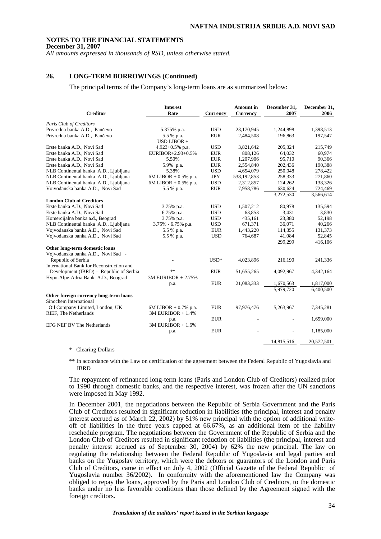**December 31, 2007** 

*All amounts expressed in thousands of RSD, unless otherwise stated.* 

# **26. LONG-TERM BORROWINGS (Continued)**

The principal terms of the Company's long-term loans are as summarized below:

| <b>Creditor</b>                                                  | <b>Interest</b><br>Rate        | <b>Currency</b> | <b>Amount</b> in<br><b>Currency</b> | December 31,<br>2007 | December 31,<br>2006 |
|------------------------------------------------------------------|--------------------------------|-----------------|-------------------------------------|----------------------|----------------------|
| Paris Club of Creditors                                          |                                |                 |                                     |                      |                      |
| Privredna banka A.D., Pančevo                                    | 5.375% p.a.                    | <b>USD</b>      | 23,170,945                          | 1,244,898            | 1,398,513            |
| Privredna banka A.D., Pančevo                                    | 5.5 % p.a.                     | <b>EUR</b>      | 2,484,508                           | 196,863              | 197,547              |
|                                                                  | USD LIBOR $\pm$                |                 |                                     |                      |                      |
| Erste banka A.D., Novi Sad                                       | 4.923+0.5% p.a.                | <b>USD</b>      | 3,821,642                           | 205,324              | 215,749              |
| Erste banka A.D., Novi Sad                                       | EURIBOR+2.93+0.5%              | <b>EUR</b>      | 808,126                             | 64,032               | 60,974               |
| Erste banka A.D., Novi Sad                                       | 5.50%                          | <b>EUR</b>      | 1,207,906                           | 95.710               | 90.366               |
| Erste banka A.D., Novi Sad                                       | 5.9% p.a.                      | <b>EUR</b>      | 2,554,840                           | 202,436              | 190,388              |
| NLB Continental banka A.D., Ljubljana                            | 5.38%                          | <b>USD</b>      | 4,654,079                           | 250,048              | 278,422              |
| NLB Continental banka A.D., Ljubljana                            | $6M$ LIBOR + 0.5% p.a.         | <b>JPY</b>      | 538,192,853                         | 258,333              | 271,860              |
| NLB Continental banka A.D., Ljubljana                            | $6M$ LIBOR + 0.5% p.a.         | <b>USD</b>      | 2,312,857                           | 124,262              | 138,326              |
| Vojvođanska banka A.D., Novi Sad                                 | 5.5 % p.a.                     | <b>EUR</b>      | 7,958,786                           | 630,624              | 724,469              |
|                                                                  |                                |                 |                                     | 3,272,530            | 3,566,614            |
| <b>London Club of Creditors</b>                                  |                                |                 |                                     |                      |                      |
| Erste banka A.D., Novi Sad                                       | 3.75% p.a.                     | <b>USD</b>      | 1,507,212                           | 80,978               | 135,594              |
| Erste banka A.D., Novi Sad                                       | 6.75% p.a.                     | <b>USD</b>      | 63,853                              | 3,431                | 3,830                |
| Komercijalna banka a.d., Beograd                                 | 3.75% p.a.                     | <b>USD</b>      | 435,161                             | 23,380               | 52,198               |
| NLB Continental banka A.D., Ljubljana                            | 3.75% - 6.75% p.a.             | <b>USD</b>      | 671,371                             | 36.071               | 40,266               |
| Vojvođanska banka A.D., Novi Sad                                 | 5.5 % p.a.                     | <b>EUR</b>      | 1,443,220                           | 114,355              | 131,373              |
| Vojvođanska banka A.D., Novi Sad                                 | 5.5 % p.a.                     | <b>USD</b>      | 764,687                             | 41,084               | 52,845               |
|                                                                  |                                |                 |                                     | 299.299              | 416,106              |
| Other long-term domestic loans                                   |                                |                 |                                     |                      |                      |
| Vojvođanska banka A.D., Novi Sad -                               |                                |                 |                                     |                      |                      |
| Republic of Serbia                                               |                                | $USD*$          | 4,023,896                           | 216,190              | 241,336              |
| International Bank for Reconstruction and                        |                                |                 |                                     |                      |                      |
| Development (IBRD) - Republic of Serbia                          | $\ast$ $\ast$                  | <b>EUR</b>      | 51,655,265                          | 4,092,967            | 4,342,164            |
| Hypo-Alpe-Adria Bank A.D., Beograd                               | 3M EURIBOR + 2.75%             |                 |                                     |                      |                      |
|                                                                  | p.a.                           | <b>EUR</b>      | 21,083,333                          | 1,670,563            | 1,817,000            |
|                                                                  |                                |                 |                                     | 5,979,720            | 6,400,500            |
| Other foreign currency long-term loans<br>Sinochem International |                                |                 |                                     |                      |                      |
| Oil Company Limited, London, UK                                  | $6M$ LIBOR + 0.7% p.a.         | <b>EUR</b>      | 97,976,476                          | 5,263,967            | 7,345,281            |
| RIEF, The Netherlands                                            | $3M$ EURIBOR + $1.4%$          |                 |                                     |                      |                      |
|                                                                  |                                | <b>EUR</b>      |                                     |                      | 1,659,000            |
| EFG NEF BV The Netherlands                                       | p.a.<br>$3M$ EURIBOR + $1.6\%$ |                 |                                     |                      |                      |
|                                                                  | p.a.                           | <b>EUR</b>      |                                     |                      | 1,185,000            |
|                                                                  |                                |                 |                                     |                      |                      |
|                                                                  |                                |                 |                                     | 14,815,516           | 20,572,501           |

#### \* Clearing Dollars

\*\* In accordance with the Law on certification of the agreement between the Federal Republic of Yugoslavia and IBRD

The repayment of refinanced long-term loans (Paris and London Club of Creditors) realized prior to 1990 through domestic banks, and the respective interest, was frozen after the UN sanctions were imposed in May 1992.

In December 2001, the negotiations between the Republic of Serbia Government and the Paris Club of Creditors resulted in significant reduction in liabilities (the principal, interest and penalty interest accrued as of March 22, 2002) by 51% new principal with the option of additional writeoff of liabilities in the three years capped at  $66.67\%$ , as an additional item of the liability reschedule program. The negotiations between the Government of the Republic of Serbia and the London Club of Creditors resulted in significant reduction of liabilities (the principal, interest and penalty interest accrued as of September 30, 2004) by 62% the new principal. The law on regulating the relationship between the Federal Republic of Yugoslavia and legal parties and banks on the Yugoslav territory, which were the debtors or guarantors of the London and Paris Club of Creditors, came in effect on July 4, 2002 (Official Gazette of the Federal Republic of Yugoslavia number 36/2002). In conformity with the aforementioned law the Company was obliged to repay the loans, approved by the Paris and London Club of Creditors, to the domestic banks under no less favorable conditions than those defined by the Agreement signed with the foreign creditors.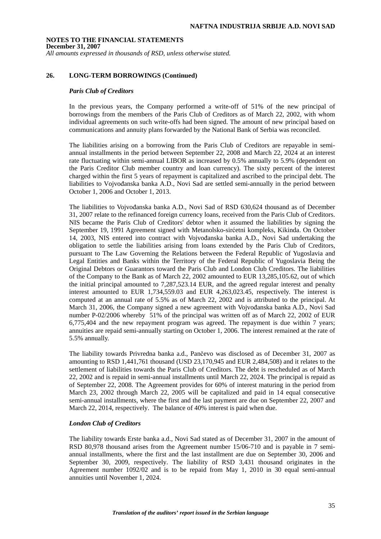#### **NOTES TO THE FINANCIAL STATEMENTS December 31, 2007**

*All amounts expressed in thousands of RSD, unless otherwise stated.* 

### **26. LONG-TERM BORROWINGS (Continued)**

#### *Paris Club of Creditors*

In the previous years, the Company performed a write-off of 51% of the new principal of borrowings from the members of the Paris Club of Creditors as of March 22, 2002, with whom individual agreements on such write-offs had been signed. The amount of new principal based on communications and annuity plans forwarded by the National Bank of Serbia was reconciled.

 The liabilities arising on a borrowing from the Paris Club of Creditors are repayable in semiannual installments in the period between September 22, 2008 and March 22, 2024 at an interest rate fluctuating within semi-annual LIBOR as increased by 0.5% annually to 5.9% (dependent on the Paris Creditor Club member country and loan currency). The sixty percent of the interest charged within the first 5 years of repayment is capitalized and ascribed to the principal debt. The liabilities to Vojvođanska banka A.D., Novi Sad are settled semi-annually in the period between October 1, 2006 and October 1, 2013.

The liabilities to Vojvođanska banka A.D., Novi Sad of RSD 630,624 thousand as of December 31, 2007 relate to the refinanced foreign currency loans, received from the Paris Club of Creditors. NIS became the Paris Club of Creditors' debtor when it assumed the liabilities by signing the September 19, 1991 Agreement signed with Metanolsko-sirćetni kompleks, Kikinda. On October 14, 2003, NIS entered into contract with Vojvoñanska banka A.D., Novi Sad undertaking the obligation to settle the liabilities arising from loans extended by the Paris Club of Creditors, pursuant to The Law Governing the Relations between the Federal Republic of Yugoslavia and Legal Entities and Banks within the Territory of the Federal Republic of Yugoslavia Being the Original Debtors or Guarantors toward the Paris Club and London Club Creditors. The liabilities of the Company to the Bank as of March 22, 2002 amounted to EUR 13,285,105.62, out of which the initial principal amounted to 7,287,523.14 EUR, and the agreed regular interest and penalty interest amounted to EUR 1,734,559.03 and EUR 4,263,023.45, respectively. The interest is computed at an annual rate of 5.5% as of March 22, 2002 and is attributed to the principal. At March 31, 2006, the Company signed a new agreement with Vojvođanska banka A.D., Novi Sad number P-02/2006 whereby 51% of the principal was written off as of March 22, 2002 of EUR 6,775,404 and the new repayment program was agreed. The repayment is due within 7 years; annuities are repaid semi-annually starting on October 1, 2006. The interest remained at the rate of 5.5% annually.

The liability towards Privredna banka a.d., Pančevo was disclosed as of December 31, 2007 as amounting to RSD 1,441,761 thousand (USD 23,170,945 and EUR 2,484,508) and it relates to the settlement of liabilities towards the Paris Club of Creditors. The debt is rescheduled as of March 22, 2002 and is repaid in semi-annual installments until March 22, 2024. The principal is repaid as of September 22, 2008. The Agreement provides for 60% of interest maturing in the period from March 23, 2002 through March 22, 2005 will be capitalized and paid in 14 equal consecutive semi-annual installments, where the first and the last payment are due on September 22, 2007 and March 22, 2014, respectively. The balance of 40% interest is paid when due.

### *London Club of Creditors*

The liability towards Erste banka a.d., Novi Sad stated as of December 31, 2007 in the amount of RSD 80,978 thousand arises from the Agreement number 15/06-710 and is payable in 7 semiannual installments, where the first and the last installment are due on September 30, 2006 and September 30, 2009, respectively. The liability of RSD 3,431 thousand originates in the Agreement number 1092/02 and is to be repaid from May 1, 2010 in 30 equal semi-annual annuities until November 1, 2024.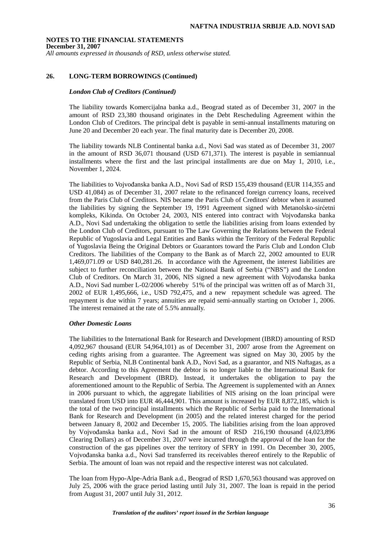#### **NOTES TO THE FINANCIAL STATEMENTS December 31, 2007**

*All amounts expressed in thousands of RSD, unless otherwise stated.* 

# **26. LONG-TERM BORROWINGS (Continued)**

### *London Club of Creditors (Continued)*

The liability towards Komercijalna banka a.d., Beograd stated as of December 31, 2007 in the amount of RSD 23,380 thousand originates in the Debt Rescheduling Agreement within the London Club of Creditors. The principal debt is payable in semi-annual installments maturing on June 20 and December 20 each year. The final maturity date is December 20, 2008.

The liability towards NLB Continental banka a.d., Novi Sad was stated as of December 31, 2007 in the amount of RSD 36,071 thousand (USD 671,371). The interest is payable in semiannual installments where the first and the last principal installments are due on May 1, 2010, i.e., November 1, 2024.

The liabilities to Vojvoñanska banka A.D., Novi Sad of RSD 155,439 thousand (EUR 114,355 and USD 41,084) as of December 31, 2007 relate to the refinanced foreign currency loans, received from the Paris Club of Creditors. NIS became the Paris Club of Creditors' debtor when it assumed the liabilities by signing the September 19, 1991 Agreement signed with Metanolsko-sirćetni kompleks, Kikinda. On October 24, 2003, NIS entered into contract with Vojvođanska banka A.D., Novi Sad undertaking the obligation to settle the liabilities arising from loans extended by the London Club of Creditors, pursuant to The Law Governing the Relations between the Federal Republic of Yugoslavia and Legal Entities and Banks within the Territory of the Federal Republic of Yugoslavia Being the Original Debtors or Guarantors toward the Paris Club and London Club Creditors. The liabilities of the Company to the Bank as of March 22, 2002 amounted to EUR 1,469,071.09 or USD 840,281.26. In accordance with the Agreement, the interest liabilities are subject to further reconciliation between the National Bank of Serbia ("NBS") and the London Club of Creditors. On March 31, 2006, NIS signed a new agreement with Vojvođanska banka A.D., Novi Sad number L-02/2006 whereby 51% of the principal was written off as of March 31, 2002 of EUR 1,495,666, i.e., USD 792,475, and a new repayment schedule was agreed. The repayment is due within 7 years; annuities are repaid semi-annually starting on October 1, 2006. The interest remained at the rate of 5.5% annually.

### *Other Domestic Loans*

The liabilities to the International Bank for Research and Development (IBRD) amounting of RSD 4,092,967 thousand (EUR 54,964,101) as of December 31, 2007 arose from the Agreement on ceding rights arising from a guarantee. The Agreement was signed on May 30, 2005 by the Republic of Serbia, NLB Continental bank A.D., Novi Sad, as a guarantor, and NIS Naftagas, as a debtor. According to this Agreement the debtor is no longer liable to the International Bank for Research and Development (IBRD). Instead, it undertakes the obligation to pay the aforementioned amount to the Republic of Serbia. The Agreement is supplemented with an Annex in 2006 pursuant to which, the aggregate liabilities of NIS arising on the loan principal were translated from USD into EUR 46,444,901. This amount is increased by EUR 8,872,185, which is the total of the two principal installments which the Republic of Serbia paid to the International Bank for Research and Development (in 2005) and the related interest charged for the period between January 8, 2002 and December 15, 2005. The liabilities arising from the loan approved by Vojvoñanska banka a.d., Novi Sad in the amount of RSD 216,190 thousand (4,023,896 Clearing Dollars) as of December 31, 2007 were incurred through the approval of the loan for the construction of the gas pipelines over the territory of SFRY in 1991. On December 30, 2005, Vojvoñanska banka a.d., Novi Sad transferred its receivables thereof entirely to the Republic of Serbia. The amount of loan was not repaid and the respective interest was not calculated.

The loan from Hypo-Alpe-Adria Bank a.d., Beograd of RSD 1,670,563 thousand was approved on July 25, 2006 with the grace period lasting until July 31, 2007. The loan is repaid in the period from August 31, 2007 until July 31, 2012.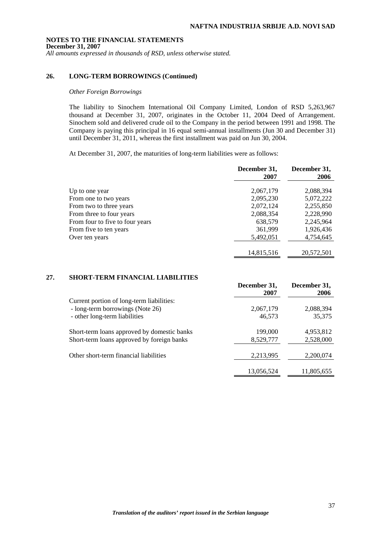**December 31, 2007** 

*All amounts expressed in thousands of RSD, unless otherwise stated.* 

### **26. LONG-TERM BORROWINGS (Continued)**

### *Other Foreign Borrowings*

The liability to Sinochem International Oil Company Limited, London of RSD 5,263,967 thousand at December 31, 2007, originates in the October 11, 2004 Deed of Arrangement. Sinochem sold and delivered crude oil to the Company in the period between 1991 and 1998. The Company is paying this principal in 16 equal semi-annual installments (Jun 30 and December 31) until December 31, 2011, whereas the first installment was paid on Jun 30, 2004.

At December 31, 2007, the maturities of long-term liabilities were as follows:

|                                 | December 31,<br>2007 | December 31,<br>2006 |
|---------------------------------|----------------------|----------------------|
| Up to one year                  | 2,067,179            | 2,088,394            |
| From one to two years           | 2,095,230            | 5,072,222            |
| From two to three years         | 2,072,124            | 2,255,850            |
| From three to four years        | 2,088,354            | 2,228,990            |
| From four to five to four years | 638,579              | 2,245,964            |
| From five to ten years          | 361,999              | 1,926,436            |
| Over ten years                  | 5,492,051            | 4,754,645            |
|                                 | 14,815,516           | 20,572,501           |

# **27. SHORT-TERM FINANCIAL LIABILITIES**

|                                             | December 31,<br>2007 | December 31,<br>2006 |
|---------------------------------------------|----------------------|----------------------|
| Current portion of long-term liabilities:   |                      |                      |
| - long-term borrowings (Note 26)            | 2,067,179            | 2,088,394            |
| - other long-term liabilities               | 46.573               | 35,375               |
| Short-term loans approved by domestic banks | 199,000              | 4,953,812            |
| Short-term loans approved by foreign banks  | 8,529,777            | 2,528,000            |
| Other short-term financial liabilities      | 2,213,995            | 2,200,074            |
|                                             | 13,056,524           | 11,805,655           |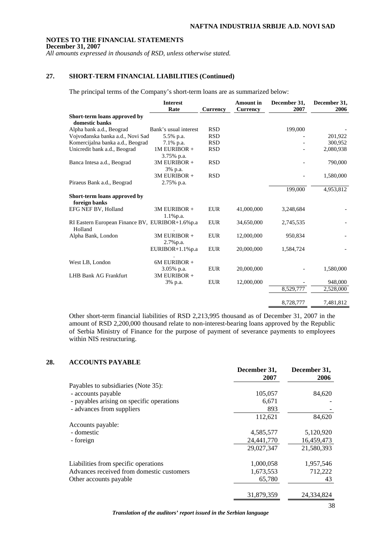**December 31, 2007** 

*All amounts expressed in thousands of RSD, unless otherwise stated.* 

# **27. SHORT-TERM FINANCIAL LIABILITIES (Continued)**

The principal terms of the Company's short-term loans are as summarized below:

|                                                 | <b>Interest</b>       |                 | <b>Amount</b> in | December 31, | December 31, |
|-------------------------------------------------|-----------------------|-----------------|------------------|--------------|--------------|
|                                                 | Rate                  | <b>Currency</b> | <b>Currency</b>  | 2007         | 2006         |
| Short-term loans approved by                    |                       |                 |                  |              |              |
| domestic banks                                  |                       |                 |                  |              |              |
| Alpha bank a.d., Beograd                        | Bank's usual interest | <b>RSD</b>      |                  | 199,000      |              |
| Vojvođanska banka a.d., Novi Sad                | 5.5% p.a.             | <b>RSD</b>      |                  |              | 201,922      |
| Komercijalna banka a.d., Beograd                | $7.1\%$ p.a.          | <b>RSD</b>      |                  |              | 300,952      |
| Unicredit bank a.d., Beograd                    | $1M$ EURIBOR +        | <b>RSD</b>      |                  |              | 2,080,938    |
|                                                 | 3.75% p.a.            |                 |                  |              |              |
| Banca Intesa a.d., Beograd                      | 3M EURIBOR +          | <b>RSD</b>      |                  |              | 790,000      |
|                                                 | 3% p.a.               |                 |                  |              |              |
|                                                 | 3M EURIBOR +          | <b>RSD</b>      |                  |              | 1,580,000    |
| Piraeus Bank a.d., Beograd                      | 2.75% p.a.            |                 |                  |              |              |
|                                                 |                       |                 |                  | 199,000      | 4,953,812    |
| Short-term loans approved by                    |                       |                 |                  |              |              |
| foreign banks                                   |                       |                 |                  |              |              |
| EFG NEF BV, Holland                             | 3M EURIBOR +          | <b>EUR</b>      | 41,000,000       | 3,248,684    |              |
|                                                 | $1.1\%$ p.a.          |                 |                  |              |              |
| RI Eastern European Finance BV, EURIBOR+1.6%p.a |                       | <b>EUR</b>      | 34,650,000       | 2,745,535    |              |
| Holland                                         |                       |                 |                  |              |              |
| Alpha Bank, London                              | 3M EURIBOR +          | <b>EUR</b>      | 12,000,000       | 950,834      |              |
|                                                 | 2.7% p.a.             |                 |                  |              |              |
|                                                 | $EURIBOR+1.1\%p.a$    | <b>EUR</b>      | 20,000,000       | 1,584,724    |              |
|                                                 |                       |                 |                  |              |              |
| West LB, London                                 | $6M$ EURIBOR +        |                 |                  |              |              |
|                                                 | 3.05% p.a.            | <b>EUR</b>      | 20,000,000       |              | 1,580,000    |
| <b>LHB Bank AG Frankfurt</b>                    | 3M EURIBOR +          |                 |                  |              |              |
|                                                 | 3% p.a.               | <b>EUR</b>      | 12,000,000       |              | 948,000      |
|                                                 |                       |                 |                  | 8,529,777    | 2,528,000    |
|                                                 |                       |                 |                  |              |              |
|                                                 |                       |                 |                  | 8,728,777    | 7,481,812    |

Other short-term financial liabilities of RSD 2,213,995 thousand as of December 31, 2007 in the amount of RSD 2,200,000 thousand relate to non-interest-bearing loans approved by the Republic of Serbia Ministry of Finance for the purpose of payment of severance payments to employees within NIS restructuring.

**December 31,** 

# **28. ACCOUNTS PAYABLE**

|                                           | D CCCMIDCL OTI<br>2007 | December 014<br>2006 |
|-------------------------------------------|------------------------|----------------------|
| Payables to subsidiaries (Note 35):       |                        |                      |
| - accounts payable                        | 105,057                | 84,620               |
| - payables arising on specific operations | 6,671                  |                      |
| - advances from suppliers                 | 893                    |                      |
|                                           | 112,621                | 84,620               |
| Accounts payable:                         |                        |                      |
| - domestic                                | 4,585,577              | 5,120,920            |
| - foreign                                 | 24,441,770             | 16,459,473           |
|                                           | 29,027,347             | 21,580,393           |
| Liabilities from specific operations      | 1,000,058              | 1,957,546            |
| Advances received from domestic customers | 1,673,553              | 712,222              |
| Other accounts payable                    | 65,780                 | 43                   |
|                                           | 31,879,359             | 24,334,824           |

 *Translation of the auditors' report issued in the Serbian language* 

**December 31,**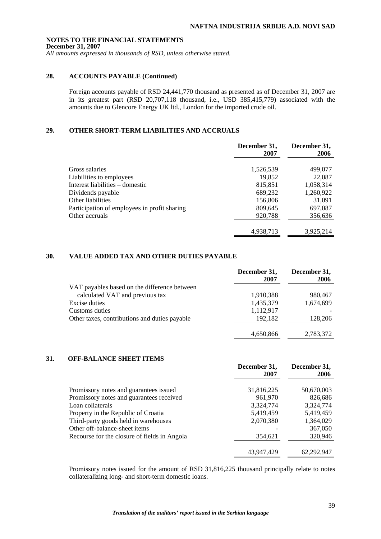**December 31, 2007** 

*All amounts expressed in thousands of RSD, unless otherwise stated.* 

# **28. ACCOUNTS PAYABLE (Continued)**

Foreign accounts payable of RSD 24,441,770 thousand as presented as of December 31, 2007 are in its greatest part (RSD 20,707,118 thousand, i.e., USD 385,415,779) associated with the amounts due to Glencore Energy UK ltd., London for the imported crude oil.

# **29. OTHER SHORT-TERM LIABILITIES AND ACCRUALS**

|                                              | December 31,<br>2007 | December 31,<br>2006 |
|----------------------------------------------|----------------------|----------------------|
| Gross salaries                               | 1,526,539            | 499,077              |
| Liabilities to employees                     | 19,852               | 22,087               |
| Interest liabilities – domestic              | 815,851              | 1,058,314            |
| Dividends payable                            | 689,232              | 1,260,922            |
| Other liabilities                            | 156,806              | 31,091               |
| Participation of employees in profit sharing | 809,645              | 697,087              |
| Other accruals                               | 920,788              | 356,636              |
|                                              |                      |                      |
|                                              | 4,938,713            | 3,925,214            |

# **30. VALUE ADDED TAX AND OTHER DUTIES PAYABLE**

|                                               | December 31,<br>2007 | December 31,<br>2006 |
|-----------------------------------------------|----------------------|----------------------|
| VAT payables based on the difference between  |                      |                      |
| calculated VAT and previous tax               | 1,910,388            | 980,467              |
| Excise duties                                 | 1,435,379            | 1,674,699            |
| Customs duties                                | 1,112,917            |                      |
| Other taxes, contributions and duties payable | 192,182              | 128,206              |
|                                               | 4.650.866            | 2,783,372            |

### **31. OFF-BALANCE SHEET ITEMS**

|                                              | December 31,<br>2007 | December 31,<br>2006 |
|----------------------------------------------|----------------------|----------------------|
| Promissory notes and guarantees issued       | 31,816,225           | 50,670,003           |
| Promissory notes and guarantees received     | 961,970              | 826,686              |
| Loan collaterals                             | 3,324,774            | 3,324,774            |
| Property in the Republic of Croatia          | 5,419,459            | 5,419,459            |
| Third-party goods held in warehouses         | 2,070,380            | 1,364,029            |
| Other off-balance-sheet items                |                      | 367,050              |
| Recourse for the closure of fields in Angola | 354,621              | 320,946              |
|                                              | 43.947.429           | 62,292,947           |

Promissory notes issued for the amount of RSD 31,816,225 thousand principally relate to notes collateralizing long- and short-term domestic loans.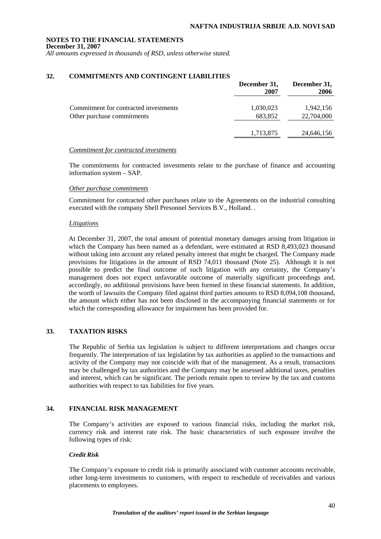**December 31, 2007** 

*All amounts expressed in thousands of RSD, unless otherwise stated.* 

### **32. COMMITMENTS AND CONTINGENT LIABILITIES**

|                                       | December 31,<br>2007 | December 31,<br>2006 |
|---------------------------------------|----------------------|----------------------|
| Commitment for contracted investments | 1,030,023            | 1,942,156            |
| Other purchase commitments            | 683,852              | 22,704,000           |
|                                       | 1,713,875            | 24,646,156           |

# *Commitment for contracted investments*

The commitments for contracted investments relate to the purchase of finance and accounting information system – SAP.

### *Other purchase commitments*

Commitment for contracted other purchases relate to the Agreements on the industrial consulting executed with the company Shell Presonnel Services B.V., Holland. .

### *Litigations*

At December 31, 2007, the total amount of potential monetary damages arising from litigation in which the Company has been named as a defendant, were estimated at RSD 8,493,023 thousand without taking into account any related penalty interest that might be charged. The Company made provisions for litigations in the amount of RSD 74,011 thousand (Note 25). Although it is not possible to predict the final outcome of such litigation with any certainty, the Company's management does not expect unfavorable outcome of materially significant proceedings and, accordingly, no additional provisions have been formed in these financial statements. In addition, the worth of lawsuits the Company filed against third parties amounts to RSD 8,094,108 thousand, the amount which either has not been disclosed in the accompanying financial statements or for which the corresponding allowance for impairment has been provided for.

### **33. TAXATION RISKS**

 The Republic of Serbia tax legislation is subject to different interpretations and changes occur frequently. The interpretation of tax legislation by tax authorities as applied to the transactions and activity of the Company may not coincide with that of the management. As a result, transactions may be challenged by tax authorities and the Company may be assessed additional taxes, penalties and interest, which can be significant. The periods remain open to review by the tax and customs authorities with respect to tax liabilities for five years.

### **34. FINANCIAL RISK MANAGEMENT**

The Company's activities are exposed to various financial risks, including the market risk, currency risk and interest rate risk. The basic characteristics of such exposure involve the following types of risk:

### *Credit Risk*

The Company's exposure to credit risk is primarily associated with customer accounts receivable, other long-term investments to customers, with respect to reschedule of receivables and various placements to employees.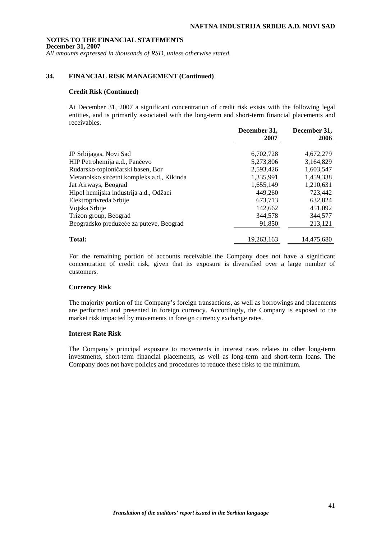**December 31, 2007** 

*All amounts expressed in thousands of RSD, unless otherwise stated.* 

# **34. FINANCIAL RISK MANAGEMENT (Continued)**

#### **Credit Risk (Continued)**

At December 31, 2007 a significant concentration of credit risk exists with the following legal entities, and is primarily associated with the long-term and short-term financial placements and receivables.

|                                            | December 31,<br>2007 | December 31,<br>2006 |
|--------------------------------------------|----------------------|----------------------|
| JP Srbijagas, Novi Sad                     | 6,702,728            | 4,672,279            |
| HIP Petrohemija a.d., Pančevo              | 5,273,806            | 3,164,829            |
| Rudarsko-topioničarski basen, Bor          | 2,593,426            | 1,603,547            |
| Metanolsko sirćetni kompleks a.d., Kikinda | 1,335,991            | 1,459,338            |
| Jat Airways, Beograd                       | 1,655,149            | 1,210,631            |
| Hipol hemijska industrija a.d., Odžaci     | 449,260              | 723,442              |
| Elektroprivreda Srbije                     | 673,713              | 632,824              |
| Vojska Srbije                              | 142,662              | 451,092              |
| Trizon group, Beograd                      | 344,578              | 344,577              |
| Beogradsko preduzeće za puteve, Beograd    | 91,850               | 213,121              |
| <b>Total:</b>                              | 19,263,163           | 14,475,680           |

For the remaining portion of accounts receivable the Company does not have a significant concentration of credit risk, given that its exposure is diversified over a large number of customers.

### **Currency Risk**

The majority portion of the Company's foreign transactions, as well as borrowings and placements are performed and presented in foreign currency. Accordingly, the Company is exposed to the market risk impacted by movements in foreign currency exchange rates.

### **Interest Rate Risk**

The Company's principal exposure to movements in interest rates relates to other long-term investments, short-term financial placements, as well as long-term and short-term loans. The Company does not have policies and procedures to reduce these risks to the minimum.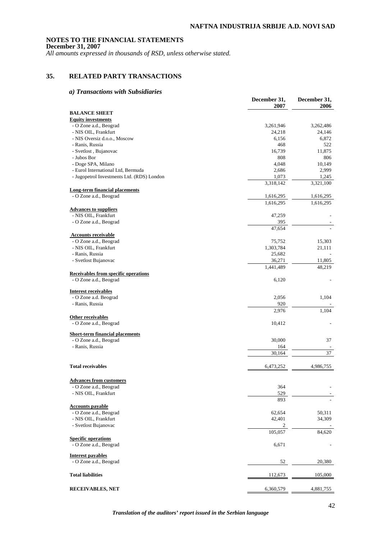**December 31, 2007** 

*All amounts expressed in thousands of RSD, unless otherwise stated.* 

# **35. RELATED PARTY TRANSACTIONS**

# *a) Transactions with Subsidiaries*

|                                                      | December 31,<br>2007 | December 31,<br>2006 |
|------------------------------------------------------|----------------------|----------------------|
| <b>BALANCE SHEET</b>                                 |                      |                      |
| <b>Equity investments</b>                            |                      |                      |
| - O Zone a.d., Beograd<br>- NIS OIL, Frankfurt       | 3,261,946<br>24,218  | 3,262,486<br>24,146  |
| - NIS Oversiz d.o.o., Moscow                         | 6,156                | 6,872                |
| - Ranis, Russia                                      | 468                  | 522                  |
| - Svetlost, Bujanovac                                | 16,739               | 11,875               |
| - Jubos Bor                                          | 808                  | 806                  |
| - Doge SPA, Milano                                   | 4,048                | 10,149               |
| - Eurol International Ltd, Bermuda                   | 2,686                | 2,999                |
| - Jugopetrol Investments Ltd. (RDS) London           | 1,073                | 1,245                |
|                                                      | 3,318,142            | 3,321,100            |
| <b>Long-term financial placements</b>                |                      |                      |
| - O Zone a.d., Beograd                               | 1,616,295            | 1,616,295            |
|                                                      | 1,616,295            | 1,616,295            |
| <b>Advances to suppliers</b><br>- NIS OIL, Frankfurt | 47,259               |                      |
| - O Zone a.d., Beograd                               | 395                  |                      |
|                                                      | 47,654               |                      |
| <b>Accounts receivable</b>                           |                      |                      |
| - O Zone a.d., Beograd                               | 75,752               | 15,303               |
| - NIS OIL, Frankfurt                                 | 1,303,784            | 21,111               |
| - Ranis, Russia                                      | 25,682               |                      |
| - Svetlost Bujanovac                                 | 36,271               | 11,805               |
|                                                      | 1,441,489            | 48,219               |
| <b>Receivables from specific operations</b>          |                      |                      |
| - O Zone a.d., Beograd                               | 6,120                |                      |
| <b>Interest receivables</b>                          |                      |                      |
| - O Zone a.d. Beograd                                | 2,056                | 1,104                |
| - Ranis, Russia                                      | 920                  |                      |
|                                                      | 2,976                | 1,104                |
| Other receivables                                    |                      |                      |
| - O Zone a.d., Beograd                               | 10,412               |                      |
| <b>Short-term financial placements</b>               |                      |                      |
| - O Zone a.d., Beograd                               | 30,000               | 37                   |
| - Ranis, Russia                                      | 164                  |                      |
|                                                      | 30,164               | 37                   |
|                                                      |                      |                      |
| <b>Total receivables</b>                             | 6,473,252            | 4,986,755            |
|                                                      |                      |                      |
| <b>Advances from customers</b>                       |                      |                      |
| - O Zone a.d., Beograd                               | 364                  |                      |
| - NIS OIL, Frankfurt                                 | 529                  |                      |
|                                                      | 893                  |                      |
| <b>Accounts payable</b><br>- O Zone a.d., Beograd    | 62,654               | 50,311               |
| - NIS OIL, Frankfurt                                 | 42,401               | 34,309               |
| - Svetlost Bujanovac                                 | 2                    |                      |
|                                                      | 105,057              | 84,620               |
| <b>Specific operations</b>                           |                      |                      |
| - O Zone a.d., Beograd                               | 6,671                |                      |
|                                                      |                      |                      |
| <b>Interest payables</b><br>- O Zone a.d., Beograd   | 52                   | 20,380               |
|                                                      |                      |                      |
| <b>Total liabilities</b>                             | 112,673              | 105,000              |
|                                                      |                      |                      |
| RECEIVABLES, NET                                     | 6,360,579            | 4,881,755            |
|                                                      |                      |                      |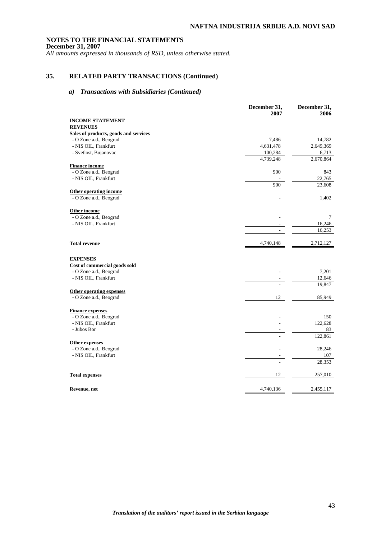**December 31, 2007** 

*All amounts expressed in thousands of RSD, unless otherwise stated.* 

# **35. RELATED PARTY TRANSACTIONS (Continued)**

# *a) Transactions with Subsidiaries (Continued)*

|                                                | December 31,<br>2007 | December 31,<br>2006 |
|------------------------------------------------|----------------------|----------------------|
| <b>INCOME STATEMENT</b><br><b>REVENUES</b>     |                      |                      |
| Sales of products, goods and services          |                      |                      |
| - O Zone a.d., Beograd                         | 7,486                | 14,782               |
| - NIS OIL, Frankfurt                           | 4,631,478            | 2,649,369            |
| - Svetlost, Bujanovac                          | 100,284              | 6,713                |
|                                                | 4,739,248            | 2,670,864            |
| <b>Finance income</b>                          |                      |                      |
| - O Zone a.d., Beograd                         | 900                  | 843                  |
| - NIS OIL, Frankfurt                           |                      | 22,765               |
|                                                | 900                  | 23,608               |
| <b>Other operating income</b>                  |                      |                      |
| - O Zone a.d., Beograd                         |                      | 1,402                |
|                                                |                      |                      |
| <b>Other income</b>                            |                      |                      |
| - O Zone a.d., Beograd                         |                      | 7                    |
| - NIS OIL, Frankfurt                           |                      | 16,246               |
|                                                | $\sim$               | 16,253               |
|                                                |                      |                      |
| <b>Total revenue</b>                           | 4,740,148            | 2,712,127            |
|                                                |                      |                      |
| <b>EXPENSES</b>                                |                      |                      |
| Cost of commercial goods sold                  |                      |                      |
| - O Zone a.d., Beograd                         |                      | 7,201                |
| - NIS OIL, Frankfurt                           |                      | 12,646               |
|                                                |                      | 19,847               |
| Other operating expenses                       |                      |                      |
| - O Zone a.d., Beograd                         | 12                   | 85,949               |
|                                                |                      |                      |
| <b>Finance expenses</b>                        |                      |                      |
| - O Zone a.d., Beograd<br>- NIS OIL, Frankfurt |                      | 150<br>122,628       |
| - Jubos Bor                                    |                      | 83                   |
|                                                |                      | 122,861              |
| Other expenses                                 |                      |                      |
| - O Zone a.d., Beograd                         |                      | 28,246               |
| - NIS OIL, Frankfurt                           |                      | 107                  |
|                                                |                      | 28,353               |
|                                                |                      |                      |
| <b>Total expenses</b>                          | 12                   | 257,010              |
|                                                |                      |                      |
| Revenue, net                                   | 4,740,136            | 2,455,117            |
|                                                |                      |                      |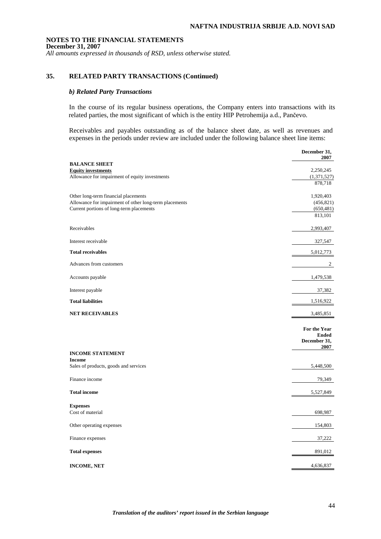#### **NOTES TO THE FINANCIAL STATEMENTS December 31, 2007**

*All amounts expressed in thousands of RSD, unless otherwise stated.* 

# **35. RELATED PARTY TRANSACTIONS (Continued)**

### *b) Related Party Transactions*

In the course of its regular business operations, the Company enters into transactions with its related parties, the most significant of which is the entity HIP Petrohemija a.d., Pančevo.

Receivables and payables outstanding as of the balance sheet date, as well as revenues and expenses in the periods under review are included under the following balance sheet line items:

|                                                        | December 31,<br>2007                                 |
|--------------------------------------------------------|------------------------------------------------------|
| <b>BALANCE SHEET</b>                                   |                                                      |
| <b>Equity investments</b>                              | 2,250,245                                            |
| Allowance for impairment of equity investments         | (1,371,527)<br>878,718                               |
|                                                        |                                                      |
| Other long-term financial placements                   | 1,920,403                                            |
| Allowance for impairment of other long-term placements | (456, 821)                                           |
| Current portions of long-term placements               | (650, 481)                                           |
|                                                        | 813,101                                              |
| Receivables                                            | 2,993,407                                            |
| Interest receivable                                    | 327,547                                              |
| <b>Total receivables</b>                               | 5,012,773                                            |
| Advances from customers                                | 2                                                    |
| Accounts payable                                       | 1,479,538                                            |
| Interest payable                                       | 37,382                                               |
| <b>Total liabilities</b>                               | 1,516,922                                            |
| <b>NET RECEIVABLES</b>                                 | 3,485,851                                            |
|                                                        | For the Year<br><b>Ended</b><br>December 31,<br>2007 |
| <b>INCOME STATEMENT</b>                                |                                                      |
| <b>Income</b>                                          |                                                      |
| Sales of products, goods and services                  | 5,448,500                                            |
| Finance income                                         | 79,349                                               |
| <b>Total income</b>                                    | 5,527,849                                            |
| <b>Expenses</b>                                        |                                                      |
| Cost of material                                       | 698,987                                              |
| Other operating expenses                               | 154,803                                              |
| Finance expenses                                       | 37,222                                               |
| <b>Total expenses</b>                                  | 891,012                                              |
| <b>INCOME, NET</b>                                     | 4,636,837                                            |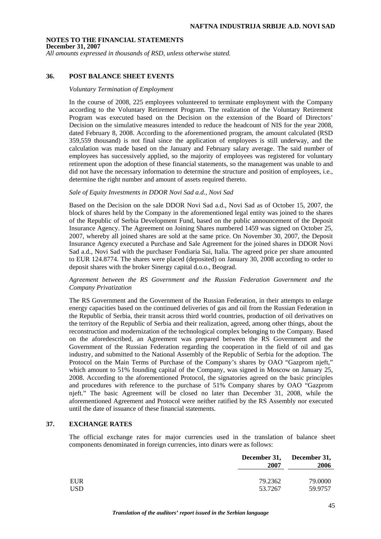**December 31, 2007** 

*All amounts expressed in thousands of RSD, unless otherwise stated.* 

# **36. POST BALANCE SHEET EVENTS**

### *Voluntary Termination of Employment*

In the course of 2008, 225 employees volunteered to terminate employment with the Company according to the Voluntary Retirement Program. The realization of the Voluntary Retirement Program was executed based on the Decision on the extension of the Board of Directors' Decision on the simulative measures intended to reduce the headcount of NIS for the year 2008, dated February 8, 2008. According to the aforementioned program, the amount calculated (RSD 359,559 thousand) is not final since the application of employees is still underway, and the calculation was made based on the January and February salary average. The said number of employees has successively applied, so the majority of employees was registered for voluntary retirement upon the adoption of these financial statements, so the management was unable to and did not have the necessary information to determine the structure and position of employees, i.e., determine the right number and amount of assets required thereto.

### *Sale of Equity Investments in DDOR Novi Sad a.d., Novi Sad*

Based on the Decision on the sale DDOR Novi Sad a.d., Novi Sad as of October 15, 2007, the block of shares held by the Company in the aforementioned legal entity was joined to the shares of the Republic of Serbia Development Fund, based on the public announcement of the Deposit Insurance Agency. The Agreement on Joining Shares numbered 1459 was signed on October 25, 2007, whereby all joined shares are sold at the same price. On November 30, 2007, the Deposit Insurance Agency executed a Purchase and Sale Agreement for the joined shares in DDOR Novi Sad a.d., Novi Sad with the purchaser Fondiaria Sai, Italia. The agreed price per share amounted to EUR 124.8774. The shares were placed (deposited) on January 30, 2008 according to order to deposit shares with the broker Sinergy capital d.o.o., Beograd.

### *Agreement between the RS Government and the Russian Federation Government and the Company Privatization*

The RS Government and the Government of the Russian Federation, in their attempts to enlarge energy capacities based on the continued deliveries of gas and oil from the Russian Federation in the Republic of Serbia, their transit across third world countries, production of oil derivatives on the territory of the Republic of Serbia and their realization, agreed, among other things, about the reconstruction and modernization of the technological complex belonging to the Company. Based on the aforedescribed, an Agreement was prepared between the RS Government and the Government of the Russian Federation regarding the cooperation in the field of oil and gas industry, and submitted to the National Assembly of the Republic of Serbia for the adoption. The Protocol on the Main Terms of Purchase of the Company's shares by OAO "Gazprom njeft," which amount to 51% founding capital of the Company, was signed in Moscow on January 25, 2008. According to the aforementioned Protocol, the signatories agreed on the basic principles and procedures with reference to the purchase of 51% Company shares by OAO "Gazprom njeft." The basic Agreement will be closed no later than December 31, 2008, while the aforementioned Agreement and Protocol were neither ratified by the RS Assembly nor executed until the date of issuance of these financial statements.

# **37. EXCHANGE RATES**

The official exchange rates for major currencies used in the translation of balance sheet components denominated in foreign currencies, into dinars were as follows:

|     | December 31,<br>2007 | December 31,<br>2006 |
|-----|----------------------|----------------------|
| EUR | 79.2362              | 79.0000              |
| USD | 53.7267              | 59.9757              |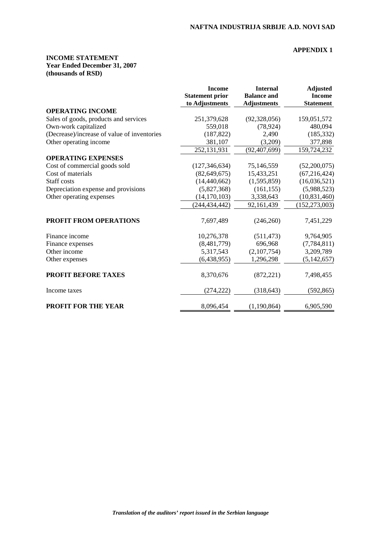# **APPENDIX 1**

# **INCOME STATEMENT Year Ended December 31, 2007 (thousands of RSD)**

|                                             | <b>Income</b><br><b>Statement prior</b><br>to Adjustments | <b>Internal</b><br><b>Balance and</b><br><b>Adjustments</b> | <b>Adjusted</b><br><b>Income</b><br><b>Statement</b> |
|---------------------------------------------|-----------------------------------------------------------|-------------------------------------------------------------|------------------------------------------------------|
| <b>OPERATING INCOME</b>                     |                                                           |                                                             |                                                      |
| Sales of goods, products and services       | 251,379,628                                               | (92, 328, 056)                                              | 159,051,572                                          |
| Own-work capitalized                        | 559,018                                                   | (78, 924)                                                   | 480,094                                              |
| (Decrease)/increase of value of inventories | (187, 822)                                                | 2,490                                                       | (185, 332)                                           |
| Other operating income                      | 381,107                                                   | (3,209)                                                     | 377,898                                              |
|                                             | 252,131,931                                               | (92, 407, 699)                                              | 159,724,232                                          |
| <b>OPERATING EXPENSES</b>                   |                                                           |                                                             |                                                      |
| Cost of commercial goods sold               | (127, 346, 634)                                           | 75,146,559                                                  | (52,200,075)                                         |
| Cost of materials                           | (82, 649, 675)                                            | 15,433,251                                                  | (67, 216, 424)                                       |
| Staff costs                                 | (14, 440, 662)                                            | (1,595,859)                                                 | (16,036,521)                                         |
| Depreciation expense and provisions         | (5,827,368)                                               | (161, 155)                                                  | (5,988,523)                                          |
| Other operating expenses                    | (14, 170, 103)                                            | 3,338,643                                                   | (10, 831, 460)                                       |
|                                             | (244, 434, 442)                                           | 92,161,439                                                  | (152, 273, 003)                                      |
| <b>PROFIT FROM OPERATIONS</b>               | 7,697,489                                                 | (246, 260)                                                  | 7,451,229                                            |
| Finance income                              | 10,276,378                                                | (511, 473)                                                  | 9,764,905                                            |
| Finance expenses                            | (8,481,779)                                               | 696,968                                                     | (7, 784, 811)                                        |
| Other income                                | 5,317,543                                                 | (2,107,754)                                                 | 3,209,789                                            |
| Other expenses                              | (6,438,955)                                               | 1,296,298                                                   | (5, 142, 657)                                        |
| <b>PROFIT BEFORE TAXES</b>                  | 8,370,676                                                 | (872, 221)                                                  | 7,498,455                                            |
| Income taxes                                | (274, 222)                                                | (318, 643)                                                  | (592, 865)                                           |
| <b>PROFIT FOR THE YEAR</b>                  | 8,096,454                                                 | (1,190,864)                                                 | 6,905,590                                            |